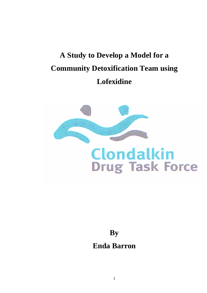# **A Study to Develop a Model for a Community Detoxification Team using Lofexidine**



## **By Enda Barron**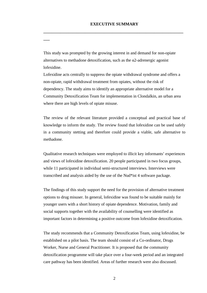**\_\_\_\_\_\_\_\_\_\_\_\_\_\_\_\_\_\_\_\_\_\_\_\_\_\_\_\_\_\_\_\_\_\_\_\_\_\_\_\_\_\_\_\_\_\_\_\_\_\_\_\_\_\_\_\_\_\_\_\_\_\_\_\_\_\_\_**

This study was prompted by the growing interest in and demand for non-opiate alternatives to methadone detoxification, such as the  $\alpha$ 2-adrenergic agonist lofexidine.

**\_\_\_** 

Lofexidine acts centrally to suppress the opiate withdrawal syndrome and offers a non-opiate, rapid withdrawal treatment from opiates, without the risk of dependency. The study aims to identify an appropriate alternative model for a Community Detoxification Team for implementation in Clondalkin, an urban area where there are high levels of opiate misuse.

The review of the relevant literature provided a conceptual and practical base of knowledge to inform the study. The review found that lofexidine can be used safely in a community stetting and therefore could provide a viable, safe alternative to methadone.

Qualitative research techniques were employed to illicit key informants' experiences and views of lofexidine detoxification. 20 people participated in two focus groups, while 11 participated in individual semi-structured interviews. Interviews were transcribed and analysis aided by the use of the Nud\*ist 4 software package.

The findings of this study support the need for the provision of alternative treatment options to drug misuser. In general, lofexidine was found to be suitable mainly for younger users with a short history of opiate dependence. Motivation, family and social supports together with the availability of counselling were identified as important factors in determining a positive outcome from lofexidine detoxification.

The study recommends that a Community Detoxification Team, using lofexidine, be established on a pilot basis. The team should consist of a Co-ordinator, Drugs Worker, Nurse and General Practitioner. It is proposed that the community detoxification programme will take place over a four-week period and an integrated care pathway has been identified. Areas of further research were also discussed.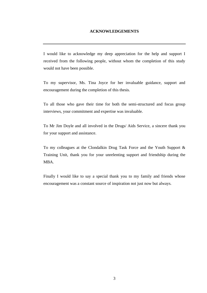#### **ACKNOWLEDGEMENTS**

I would like to acknowledge my deep appreciation for the help and support I received from the following people, without whom the completion of this study would not have been possible.

To my supervisor, Ms. Tina Joyce for her invaluable guidance, support and encouragement during the completion of this thesis.

To all those who gave their time for both the semi-structured and focus group interviews, your commitment and expertise was invaluable.

To Mr Jim Doyle and all involved in the Drugs/ Aids Service, a sincere thank you for your support and assistance.

To my colleagues at the Clondalkin Drug Task Force and the Youth Support & Training Unit, thank you for your unrelenting support and friendship during the MBA.

Finally I would like to say a special thank you to my family and friends whose encouragement was a constant source of inspiration not just now but always.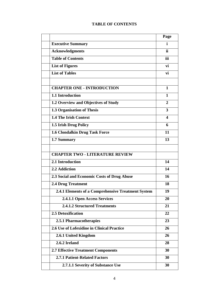|                                                    | Page           |
|----------------------------------------------------|----------------|
| <b>Executive Summary</b>                           | $\mathbf{i}$   |
| <b>Acknowledgments</b>                             | <b>ii</b>      |
| <b>Table of Contents</b>                           | iii            |
| <b>List of Figures</b>                             | vi             |
| <b>List of Tables</b>                              | vi             |
|                                                    |                |
| <b>CHAPTER ONE - INTRODUCTION</b>                  | 1              |
| 1.1 Introduction                                   | 1              |
| 1.2 Overview and Objectives of Study               | $\overline{2}$ |
| 1.3 Organisation of Thesis                         | 3              |
| 1.4 The Irish Context                              | 4              |
| 1.5 Irish Drug Policy                              | 6              |
| <b>1.6 Clondalkin Drug Task Force</b>              | 11             |
| 1.7 Summary                                        | 13             |
|                                                    |                |
| <b>CHAPTER TWO - LITERATURE REVIEW</b>             |                |
| 2.1 Introduction                                   | 14             |
| 2.2 Addiction                                      | 14             |
| 2.3 Social and Economic Costs of Drug Abuse        | 16             |
| <b>2.4 Drug Treatment</b>                          | 18             |
| 2.4.1 Elements of a Comprehensive Treatment System | 19             |
| 2.4.1.1 Open Access Services                       | 20             |
| <b>2.4.1.2 Structured Treatments</b>               | 21             |
| <b>2.5 Detoxification</b>                          | 22             |
| 2.5.1 Pharmacotherapies                            | 23             |
| 2.6 Use of Lofexidine in Clinical Practice         | 26             |
| 2.6.1 United Kingdom                               | 26             |
| 2.6.2 Ireland                                      | 28             |
| <b>2.7 Effective Treatment Components</b>          | 30             |
| <b>2.7.1 Patient-Related Factors</b>               | 30             |
| 2.7.1.1 Severity of Substance Use                  | 30             |
|                                                    |                |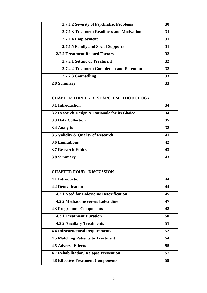| 2.7.1.2 Severity of Psychiatric Problems       | 30 |
|------------------------------------------------|----|
| 2.7.1.3 Treatment Readiness and Motivation     | 31 |
| 2.7.1.4 Employment                             | 31 |
| 2.7.1.5 Family and Social Supports             | 31 |
| <b>2.7.2 Treatment Related Factors</b>         | 32 |
| 2.7.2.1 Setting of Treatment                   | 32 |
| 2.7.2.2 Treatment Completion and Retention     | 32 |
| 2.7.2.3 Counselling                            | 33 |
| 2.8 Summary                                    | 33 |
|                                                |    |
| <b>CHAPTER THREE - RESEARCH METHODOLOGY</b>    |    |
| 3.1 Introduction                               | 34 |
| 3.2 Research Design & Rationale for its Choice | 34 |
| <b>3.3 Data Collection</b>                     | 35 |
| 3.4 Analysis                                   | 38 |
| 3.5 Validity & Quality of Research             | 41 |
| <b>3.6 Limitations</b>                         | 42 |
| <b>3.7 Research Ethics</b>                     | 43 |
| 3.8 Summary                                    | 43 |
|                                                |    |
| <b>CHAPTER FOUR - DISCUSSION</b>               |    |
| <b>4.1 Introduction</b>                        | 44 |
| <b>4.2 Detoxification</b>                      | 44 |
| 4.2.1 Need for Lofexidine Detoxification       | 45 |
| 4.2.2 Methadone versus Lofexidine              | 47 |
| <b>4.3 Programme Components</b>                | 48 |
| <b>4.3.1 Treatment Duration</b>                | 50 |
| <b>4.3.2 Ancillary Treatments</b>              | 51 |
| <b>4.4 Infrastructural Requirements</b>        | 52 |
| <b>4.5 Matching Patients to Treatment</b>      | 54 |
| <b>4.5 Adverse Effects</b>                     | 55 |
| <b>4.7 Rehabilitation/ Relapse Prevention</b>  | 57 |
| <b>4.8 Effective Treatment Components</b>      | 59 |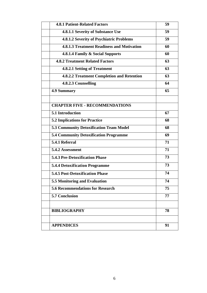| <b>4.8.1 Patient-Related Factors</b>              | 59 |
|---------------------------------------------------|----|
| 4.8.1.1 Severity of Substance Use                 | 59 |
| 4.8.1.2 Severity of Psychiatric Problems          | 59 |
| <b>4.8.1.3 Treatment Readiness and Motivation</b> | 60 |
| 4.8.1.4 Family & Social Supports                  | 60 |
| <b>4.8.2 Treatment Related Factors</b>            | 63 |
| 4.8.2.1 Setting of Treatment                      | 63 |
| 4.8.2.2 Treatment Completion and Retention        | 63 |
| 4.8.2.3 Counselling                               | 64 |
| <b>4.9 Summary</b>                                | 65 |
|                                                   |    |
| <b>CHAPTER FIVE - RECOMMENDATIONS</b>             |    |
| 5.1 Introduction                                  | 67 |
| <b>5.2 Implications for Practice</b>              | 68 |
| 5.3 Community Detoxification Team Model           | 68 |
| <b>5.4 Community Detoxification Programme</b>     | 69 |
| 5.4.1 Referral                                    | 71 |
| 5.4.2 Assessment                                  | 71 |
| <b>5.4.3 Pre-Detoxification Phase</b>             | 73 |
| <b>5.4.4 Detoxification Programme</b>             | 73 |
| <b>5.4.5 Post-Detoxification Phase</b>            | 74 |
| 5.5 Monitoring and Evaluation                     | 74 |
| <b>5.6 Recommendations for Research</b>           | 75 |
| 5.7 Conclusion                                    | 77 |
|                                                   |    |
| <b>BIBLIOGRAPHY</b>                               | 78 |
|                                                   |    |
| <b>APPENDICES</b>                                 | 91 |
|                                                   |    |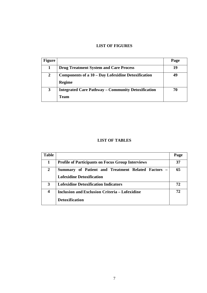## **LIST OF FIGURES**

| <b>Figure</b>  |                                                                          | Page |
|----------------|--------------------------------------------------------------------------|------|
|                | <b>Drug Treatment System and Care Process</b>                            | 19   |
| $\overline{2}$ | Components of a 10 – Day Lofexidine Detoxification<br><b>Regime</b>      | 49   |
| 3              | <b>Integrated Care Pathway – Community Detoxification</b><br><b>Team</b> | 70   |

## **LIST OF TABLES**

| <b>Table</b>     |                                                          | Page |
|------------------|----------------------------------------------------------|------|
| 1                | <b>Profile of Participants on Focus Group Interviews</b> | 37   |
| 2                | Summary of Patient and Treatment Related Factors -       | 65   |
|                  | <b>Lofexidine Detoxification</b>                         |      |
| 3                | <b>Lofexidine Detoxification Indicators</b>              | 72   |
| $\boldsymbol{4}$ | Inclusion and Exclusion Criteria – Lofexidine            | 72   |
|                  | <b>Detoxification</b>                                    |      |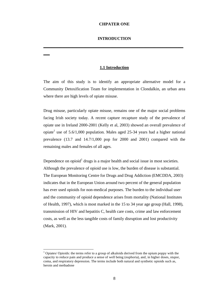#### **CHPATER ONE**

#### **INTRODUCTION**

**\_\_\_\_\_\_\_\_\_\_\_\_\_\_\_\_\_\_\_\_\_\_\_\_\_\_\_\_\_\_\_\_\_\_\_\_\_\_\_\_\_\_\_\_\_\_\_\_\_\_\_\_\_\_\_\_\_\_\_\_\_\_\_\_\_\_\_**

**\_\_\_**

 $\overline{a}$ 

#### **1.1 Introduction**

The aim of this study is to identify an appropriate alternative model for a Community Detoxification Team for implementation in Clondalkin, an urban area where there are high levels of opiate misuse.

Drug misuse, particularly opiate misuse, remains one of the major social problems facing Irish society today. A recent capture recapture study of the prevalence of opiate use in Ireland 2000-2001 (Kelly et al, 2003) showed an overall prevalence of opiate<sup>1</sup> use of 5.6/1,000 population. Males aged 25-34 years had a higher national prevalence (13.7 and 14.7/1,000 pop for 2000 and 2001) compared with the remaining males and females of all ages.

Dependence on opioid<sup>1</sup> drugs is a major health and social issue in most societies. Although the prevalence of opioid use is low, the burden of disease is substantial. The European Monitoring Centre for Drugs and Drug Addiction (EMCDDA, 2003) indicates that in the European Union around two percent of the general population has ever used opioids for non-medical purposes. The burden to the individual user and the community of opioid dependence arises from mortality (National Institutes of Health, 1997), which is most marked in the 15 to 34 year age group (Hall, 1998), transmission of HIV and hepatitis C, health care costs, crime and law enforcement costs, as well as the less tangible costs of family disruption and lost productivity (Mark, 2001).

 $1$  Opiates/ Opioids: the terms refer to a group of alkaloids derived from the opium poppy with the capacity to reduce pain and produce a sense of well being (euphoria), and, in higher doses, stupor, coma, and respiratory depression. The terms include both natural and synthetic opioids such as, heroin and methadone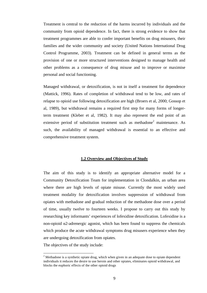Treatment is central to the reduction of the harms incurred by individuals and the community from opioid dependence. In fact, there is strong evidence to show that treatment programmes are able to confer important benefits on drug misusers, their families and the wider community and society (United Nations International Drug Control Programme, 2003). Treatment can be defined in general terms as the provision of one or more structured interventions designed to manage health and other problems as a consequence of drug misuse and to improve or maximise personal and social functioning.

Managed withdrawal, or detoxification, is not in itself a treatment for dependence (Mattick, 1996). Rates of completion of withdrawal tend to be low, and rates of relapse to opioid use following detoxification are high (Broers et al, 2000; Gossop et al, 1989), but withdrawal remains a required first step for many forms of longerterm treatment (Kleber et al, 1982). It may also represent the end point of an extensive period of substitution treatment such as methadone<sup>2</sup> maintenance. As such, the availability of managed withdrawal is essential to an effective and comprehensive treatment system.

### **1.2 Overview and Objectives of Study**

The aim of this study is to identify an appropriate alternative model for a Community Detoxification Team for implementation in Clondalkin, an urban area where there are high levels of opiate misuse. Currently the most widely used treatment modality for detoxification involves suppression of withdrawal from opiates with methadone and gradual reduction of the methadone dose over a period of time, usually twelve to fourteen weeks. I propose to carry out this study by researching key informants' experiences of lofexidine detoxification. Lofexidine is a non-opioid  $\alpha$ 2-adrenergic agonist, which has been found to suppress the chemicals which produce the acute withdrawal symptoms drug misusers experience when they are undergoing detoxification from opiates.

The objectives of the study include:

 $\overline{a}$ 

 $2^{2}$  Methadone is a synthetic opiate drug, which when given in an adequate dose to opiate dependent individuals it reduces the desire to use heroin and other opiates, eliminates opioid withdrawal, and blocks the euphoric effects of the other opioid drugs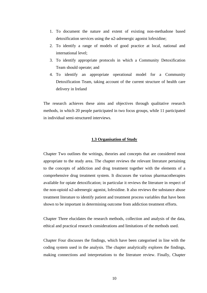- 1. To document the nature and extent of existing non-methadone based detoxification services using the  $\alpha$ 2-adrenergic agonist lofexidine;
- 2. To identify a range of models of good practice at local, national and international level;
- 3. To identify appropriate protocols in which a Community Detoxification Team should operate; and
- 4. To identify an appropriate operational model for a Community Detoxification Team, taking account of the current structure of health care delivery in Ireland

The research achieves these aims and objectives through qualitative research methods, in which 20 people participated in two focus groups, while 11 participated in individual semi-structured interviews.

#### **1.3 Organisation of Study**

Chapter Two outlines the writings, theories and concepts that are considered most appropriate to the study area. The chapter reviews the relevant literature pertaining to the concepts of addiction and drug treatment together with the elements of a comprehensive drug treatment system. It discusses the various pharmacotherapies available for opiate detoxification; in particular it reviews the literature in respect of the non-opioid  $\alpha$ 2-adrenergic agonist, lofexidine. It also reviews the substance abuse treatment literature to identify patient and treatment process variables that have been shown to be important in determining outcome from addiction treatment efforts.

Chapter Three elucidates the research methods, collection and analysis of the data, ethical and practical research considerations and limitations of the methods used.

Chapter Four discusses the findings, which have been categorised in line with the coding system used in the analysis. The chapter analytically explores the findings, making connections and interpretations to the literature review. Finally, Chapter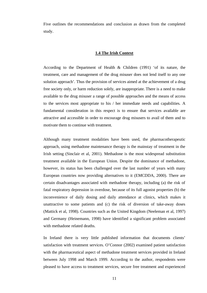Five outlines the recommendations and conclusion as drawn from the completed study.

#### **1.4 The Irish Context**

According to the Department of Health & Children (1991) 'of its nature, the treatment, care and management of the drug misuser does not lend itself to any one solution approach'. Thus the provision of services aimed at the achievement of a drug free society only, or harm reduction solely, are inappropriate. There is a need to make available to the drug misuser a range of possible approaches and the means of access to the services most appropriate to his / her immediate needs and capabilities. A fundamental consideration in this respect is to ensure that services available are attractive and accessible in order to encourage drug misusers to avail of them and to motivate them to continue with treatment.

Although many treatment modalities have been used, the pharmacotherapeutic approach, using methadone maintenance therapy is the mainstay of treatment in the Irish setting (Sinclair et al, 2001). Methadone is the most widespread substitution treatment available in the European Union. Despite the dominance of methadone, however, its status has been challenged over the last number of years with many European countries now providing alternatives to it (EMCDDA, 2000). There are certain disadvantages associated with methadone therapy, including (a) the risk of fatal respiratory depression in overdose, because of its full agonist properties (b) the inconvenience of daily dosing and daily attendance at clinics, which makes it unattractive to some patients and (c) the risk of diversion of take-away doses (Mattick et al, 1998). Countries such as the United Kingdom (Neeleman et al, 1997) and Germany (Heinemann, 1998) have identified a significant problem associated with methadone related deaths.

In Ireland there is very little published information that documents clients' satisfaction with treatment services. O'Connor (2002) examined patient satisfaction with the pharmaceutical aspect of methadone treatment services provided in Ireland between July 1998 and March 1999. According to the author, respondents were pleased to have access to treatment services, secure free treatment and experienced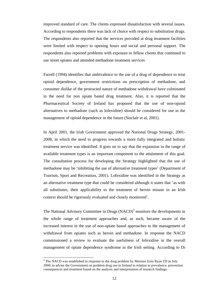improved standard of care. The clients expressed dissatisfaction with several issues. According to respondents there was lack of choice with respect to substitution drugs. The respondents also reported that the services provided at drug treatment facilities were limited with respect to opening hours and social and personal support. The respondents also reported problems with exposure to fellow clients that continued to use street opiates and attended methadone treatment services

Farrell (1994) identifies that ambivalence to the use of a drug of dependence to treat opioid dependence, government restrictions on prescription of methadone, and consumer dislike of the protracted nature of methadone withdrawal have culminated in the need for non opiate based drug treatment. Also, it is reported that the Pharmaceutical Society of Ireland has proposed that the use of non-opioid alternatives to methadone (such as lofexidine) should be considered for use in the management of opioid dependence in the future (Sinclair et al, 2001).

In April 2001, the Irish Government approved the National Drugs Strategy, 2001- 2008, in which the need to progress towards a more fully integrated and holistic treatment service was identified. It goes on to say that the expansion in the range of available treatment types is an important component to the attainment of this goal. The consultation process for developing the Strategy highlighted that the use of methadone may be 'inhibiting the use of alternative treatment types' (Department of Tourism, Sport and Recreation, 2001). Lofexidine was identified in the Strategy as an alternative treatment type that could be considered although it states that 'as with all substitutes, their applicability to the treatment of heroin misuse in an Irish context should be rigorously evaluated and closely monitored'.

The National Advisory Committee in Drugs  $(NACD)^3$  monitors the developments in the whole range of treatment approaches and, as such, became aware of the increased interest in the use of non-opiate based approaches to the management of withdrawal from opiates such as heroin and methadone. In response the NACD commissioned a review to evaluate the usefulness of lofexidine in the overall management of opiate dependence syndrome in the Irish setting. According to Dr

 $\overline{a}$ 

 $3$  The NACD was established in response to the drug problem by Minister Eoin Ryan TD in July 2000, to advise the Government on problem drug use in Ireland in relation to prevalence, prevention consequences and treatment based on the analysis and interpretation of research findings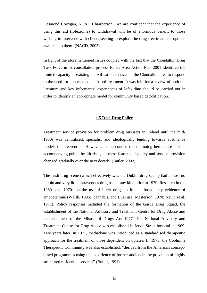Desmond Corrigan, NCAD Chairperson, 'we are confident that the experience of using this aid (lofexidine) to withdrawal will be of enormous benefit to those wishing to intervene with clients seeking to explore the drug free treatment options available to them' (NACD, 2003).

In light of the aforementioned issues coupled with the fact that the Clondalkin Drug Task Force in its consultation process for its Area Action Plan 2001 identified the limited capacity of existing detoxification services in the Clondalkin area to respond to the need for non-methadone based treatment. It was felt that a review of both the literature and key informants' experiences of lofexidine should be carried out in order to identify an appropriate model for community based detoxification.

#### **1.5 Irish Drug Policy**

Treatment service provision for problem drug misusers in Ireland until the mid-1980s was centralised, specialist and ideologically tending towards abstinence models of intervention. However, in the context of continuing heroin use and its accompanying public health risks, all these features of policy and service provision changed gradually over the next decade. (Butler, 2002)

The Irish drug scene (which effectively was the Dublin drug scene) had almost no heroin and very little intravenous drug use of any kind prior to 1979. Research in the 1960s and 1970s on the use of illicit drugs in Ireland found only evidence of amphetamine (Walsh, 1996), cannabis, and LSD use (Masterson, 1970; Nevin et al, 1971). Policy responses included the formation of the Garda Drug Squad, the establishment of the National Advisory and Treatment Centre for Drug Abuse and the enactment of the Misuse of Drugs Act 1977. The National Advisory and Treatment Centre for Drug Abuse was established in Jervis Street hospital in 1969. Two years later, in 1971, methadone was introduced as a standardised therapeutic approach for the treatment of those dependent on opiates. In 1973, the Coolmine Therapeutic Community was also established, "derived from the American conceptbased programmes using the experience of former addicts in the provision of highly structured residential services" (Butler, 1991).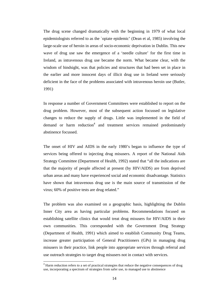The drug scene changed dramatically with the beginning in 1979 of what local epidemiologists referred to as the `opiate epidemic' (Dean et al, 1985) involving the large-scale use of heroin in areas of socio-economic deprivation in Dublin. This new wave of drug use saw the emergence of a 'needle culture' for the first time in Ireland, as intravenous drug use became the norm. What became clear, with the wisdom of hindsight, was that policies and structures that had been set in place in the earlier and more innocent days of illicit drug use in Ireland were seriously deficient in the face of the problems associated with intravenous heroin use (Butler, 1991)

In response a number of Government Committees were established to report on the drug problem. However, most of the subsequent action focussed on legislative changes to reduce the supply of drugs. Little was implemented in the field of demand or harm reduction<sup>4</sup> and treatment services remained predominately abstinence focussed.

The onset of HIV and AIDS in the early 1980's began to influence the type of services being offered to injecting drug misusers. A report of the National Aids Strategy Committee (Department of Health, 1992) stated that "all the indications are that the majority of people affected at present (by HIV/AIDS) are from deprived urban areas and many have experienced social and economic disadvantage. Statistics have shown that intravenous drug use is the main source of transmission of the virus; 60% of positive tests are drug related."

The problem was also examined on a geographic basis, highlighting the Dublin Inner City area as having particular problems. Recommendations focused on establishing satellite clinics that would treat drug misusers for HIV/AIDS in their own communities. This corresponded with the Government Drug Strategy (Department of Health, 1991) which aimed to establish Community Drug Teams, increase greater participation of General Practitioners (GPs) in managing drug misusers in their practice, link people into appropriate services through referral and use outreach strategies to target drug misusers not in contact with services.

 $\overline{a}$ 

<sup>&</sup>lt;sup>4</sup> Harm reduction refers to a set of practical strategies that reduce the negative consequences of drug use, incorporating a spectrum of strategies from safer use, to managed use to abstinence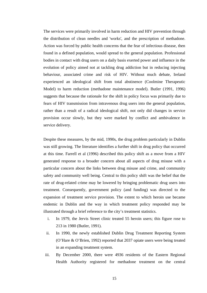The services were primarily involved in harm reduction and HIV prevention through the distribution of clean needles and 'works', and the prescription of methadone. Action was forced by public health concerns that the fear of infectious disease, then found in a defined population, would spread to the general population. Professional bodies in contact with drug users on a daily basis exerted power and influence in the evolution of policy aimed not at tackling drug addiction but in reducing injecting behaviour, associated crime and risk of HIV. Without much debate, Ireland experienced an ideological shift from total abstinence (Coolmine Therapeutic Model) to harm reduction (methadone maintenance model). Butler (1991, 1996) suggests that because the rationale for the shift in policy focus was primarily due to fears of HIV transmission from intravenous drug users into the general population, rather than a result of a radical ideological shift, not only did changes in service provision occur slowly, but they were marked by conflict and ambivalence in service delivery.

Despite these measures, by the mid, 1990s, the drug problem particularly in Dublin was still growing. The literature identifies a further shift in drug policy that occurred at this time. Farrell et al (1996) described this policy shift as a move from a HIV generated response to a broader concern about all aspects of drug misuse with a particular concern about the links between drug misuse and crime, and community safety and community well being. Central to this policy shift was the belief that the rate of drug-related crime may be lowered by bringing problematic drug users into treatment. Consequently, government policy (and funding) was directed to the expansion of treatment service provision. The extent to which heroin use became endemic in Dublin and the way in which treatment policy responded may be illustrated through a brief reference to the city's treatment statistics.

- i. In 1979, the Jervis Street clinic treated 55 heroin users; this figure rose to 213 in 1980 (Butler, 1991).
- ii. In 1990, the newly established Dublin Drug Treatment Reporting System (O'Hare & O'Brien, 1992) reported that 2037 opiate users were being treated in an expanding treatment system.
- iii. By December 2000, there were 4936 residents of the Eastern Regional Health Authority registered for methadone treatment on the central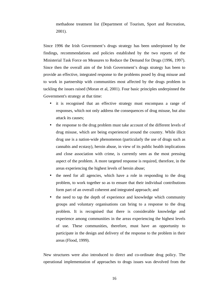methadone treatment list (Department of Tourism, Sport and Recreation, 2001).

Since 1996 the Irish Government's drugs strategy has been underpinned by the findings, recommendations and policies established by the two reports of the Ministerial Task Force on Measures to Reduce the Demand for Drugs (1996, 1997). Since then the overall aim of the Irish Government's drugs strategy has been to provide an effective, integrated response to the problems posed by drug misuse and to work in partnership with communities most affected by the drugs problem in tackling the issues raised (Moran et al, 2001). Four basic principles underpinned the Government's strategy at that time:

- it is recognised that an effective strategy must encompass a range of responses, which not only address the consequences of drug misuse, but also attack its causes;
- the response to the drug problem must take account of the different levels of drug misuse, which are being experienced around the country. While illicit drug use is a nation-wide phenomenon (particularly the use of drugs such as cannabis and ecstasy), heroin abuse, in view of its public health implications and close association with crime, is currently seen as the most pressing aspect of the problem. A more targeted response is required, therefore, in the areas experiencing the highest levels of heroin abuse;
- the need for all agencies, which have a role in responding to the drug problem, to work together so as to ensure that their individual contributions form part of an overall coherent and integrated approach; and
- the need to tap the depth of experience and knowledge which community groups and voluntary organisations can bring to a response to the drug problem. It is recognised that there is considerable knowledge and experience among communities in the areas experiencing the highest levels of use. These communities, therefore, must have an opportunity to participate in the design and delivery of the response to the problem in their areas (Flood, 1999).

New structures were also introduced to direct and co-ordinate drug policy. The operational implementation of approaches to drugs issues was devolved from the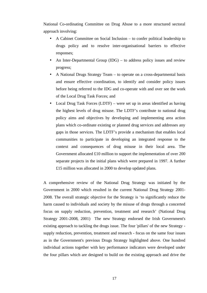National Co-ordinating Committee on Drug Abuse to a more structured sectoral approach involving:

- A Cabinet Committee on Social Inclusion to confer political leadership to drugs policy and to resolve inter-organisational barriers to effective responses;
- An Inter-Departmental Group (IDG) to address policy issues and review progress;
- A National Drugs Strategy Team to operate on a cross-departmental basis and ensure effective coordination, to identify and consider policy issues before being referred to the IDG and co-operate with and over see the work of the Local Drug Task Forces; and
- Local Drug Task Forces (LDTF) were set up in areas identified as having the highest levels of drug misuse. The LDTF's contribute to national drug policy aims and objectives by developing and implementing area action plans which co-ordinate existing or planned drug services and addresses any gaps in those services. The LDTF's provide a mechanism that enables local communities to participate in developing an integrated response to the context and consequences of drug misuse in their local area. The Government allocated £10 million to support the implementation of over 200 separate projects in the initial plans which were prepared in 1997. A further £15 million was allocated in 2000 to develop updated plans.

A comprehensive review of the National Drug Strategy was initiated by the Government in 2000 which resulted in the current National Drug Strategy 2001- 2008. The overall strategic objective for the Strategy is 'to significantly reduce the harm caused to individuals and society by the misuse of drugs through a concerted focus on supply reduction, prevention, treatment and research' (National Drug Strategy 2001-2008, 2001) The new Strategy endorsed the Irish Government's existing approach to tackling the drugs issue. The four 'pillars' of the new Strategy supply reduction, prevention, treatment and research - focus on the same four issues as in the Government's previous Drugs Strategy highlighted above. One hundred individual actions together with key performance indicators were developed under the four pillars which are designed to build on the existing approach and drive the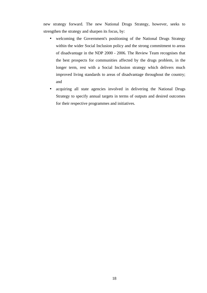new strategy forward. The new National Drugs Strategy, however, seeks to strengthen the strategy and sharpen its focus, by:

- welcoming the Government's positioning of the National Drugs Strategy within the wider Social Inclusion policy and the strong commitment to areas of disadvantage in the NDP 2000 - 2006. The Review Team recognises that the best prospects for communities affected by the drugs problem, in the longer term, rest with a Social Inclusion strategy which delivers much improved living standards to areas of disadvantage throughout the country; and
- acquiring all state agencies involved in delivering the National Drugs Strategy to specify annual targets in terms of outputs and desired outcomes for their respective programmes and initiatives.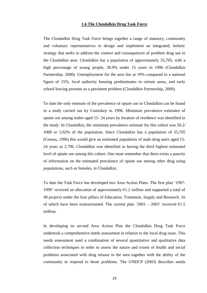#### **1.6 The Clondalkin Drug Task Force**

The Clondalkin Drug Task Force brings together a range of statutory, community and voluntary representatives to design and implement an integrated, holistic strategy that seeks to address the context and consequences of problem drug use in the Clondalkin area. Clondalkin has a population of approximately 55,705, with a high percentage of young people, 30.9% under 15 years in 1996 (Clondalkin Partnership, 2000). Unemployment for the area lies at 19% compared to a national figure of 15%, local authority housing predominates in certain areas, and early school leaving presents as a persistent problem (Clondalkin Partnership, 2000).

To date the only estimate of the prevalence of opiate use in Clondalkin can be found in a study carried out by Comiskey in 1996. Minimum prevalence estimates of opiate use among males aged 15- 24 years by location of residence was identified in the study. In Clondalkin, the minimum prevalence estimate for this cohort was 50.2/ 1000 or 5.02% of the population. Since Clondalkin has a population of 55,705 (Census, 1996) this would give an estimated population of male drug users aged 15- 24 years as 2,796. Clondalkin was identified as having the third highest estimated level of opiate use among this cohort. One must remember that there exists a paucity of information on the estimated prevalence of opiate use among other drug using populations, such as females, in Clondalkin.

To date the Task Force has developed two Area Action Plans. The first plan '1997- 1999' received an allocation of approximately  $\epsilon$ 1.2 million and supported a total of 49 projects under the four pillars of Education, Treatment, Supply and Research, 16 of which have been mainstreamed. The current plan '2001 – 2003' received  $\epsilon$ 1.5 million.

In developing its second Area Action Plan the Clondalkin Drug Task Force undertook a comprehensive needs assessment in relation to the local drug issue. This needs assessment used a combination of several quantitative and qualitative data collection techniques in order to assess the nature and extent of health and social problems associated with drug misuse in the area together with the ability of the community to respond to those problems. The UNDCP (2003) describes needs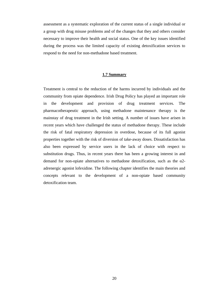assessment as a systematic exploration of the current status of a single individual or a group with drug misuse problems and of the changes that they and others consider necessary to improve their health and social status. One of the key issues identified during the process was the limited capacity of existing detoxification services to respond to the need for non-methadone based treatment.

#### **1.7 Summary**

Treatment is central to the reduction of the harms incurred by individuals and the community from opiate dependence. Irish Drug Policy has played an important role in the development and provision of drug treatment services. The pharmacotherapeutic approach, using methadone maintenance therapy is the mainstay of drug treatment in the Irish setting. A number of issues have arisen in recent years which have challenged the status of methadone therapy. These include the risk of fatal respiratory depression in overdose, because of its full agonist properties together with the risk of diversion of take-away doses. Dissatisfaction has also been expressed by service users in the lack of choice with respect to substitution drugs. Thus, in recent years there has been a growing interest in and demand for non-opiate alternatives to methadone detoxification, such as the  $\alpha$ 2adrenergic agonist lofexidine. The following chapter identifies the main theories and concepts relevant to the development of a non-opiate based community detoxification team.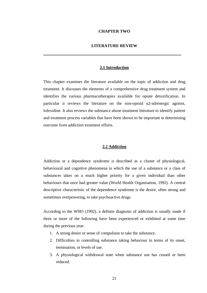#### **CHAPTER TWO**

#### **LITERATURE REVIEW**

#### **2.1 Introduction**

This chapter examines the literature available on the topic of addiction and drug treatment. It discusses the elements of a comprehensive drug treatment system and identifies the various pharmacotherapies available for opiate detoxification. In particular it reviews the literature on the non-opioid  $\alpha$ 2-adrenergic agonist, lofexidine. It also reviews the substance abuse treatment literature to identify patient and treatment process variables that have been shown to be important in determining outcome from addiction treatment efforts.

#### **2.2 Addiction**

Addiction or a dependence syndrome is described as a cluster of physiological, behavioural and cognitive phenomena in which the use of a substance or a class of substances takes on a much higher priority for a given individual than other behaviours that once had greater value (World Health Organisation, 1992). A central descriptive characteristic of the dependence syndrome is the desire, often strong and sometimes overpowering, to take psychoactive drugs.

According to the WHO (1992), a definite diagnosis of addiction is usually made if three or more of the following have been experienced or exhibited at some time during the previous year:

- 1. A strong desire or sense of compulsion to take the substance.
- 2. Difficulties in controlling substance taking behaviour in terms of its onset, termination, or levels of use.
- 3. A physiological withdrawal state when substance use has ceased or been reduced.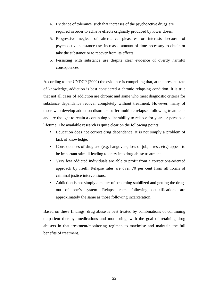- 4. Evidence of tolerance, such that increases of the psychoactive drugs are required in order to achieve effects originally produced by lower doses.
- 5. Progressive neglect of alternative pleasures or interests because of psychoactive substance use, increased amount of time necessary to obtain or take the substance or to recover from its effects.
- 6. Persisting with substance use despite clear evidence of overtly harmful consequences.

According to the UNDCP (2002) the evidence is compelling that, at the present state of knowledge, addiction is best considered a chronic relapsing condition. It is true that not all cases of addiction are chronic and some who meet diagnostic criteria for substance dependence recover completely without treatment. However, many of those who develop addiction disorders suffer multiple relapses following treatments and are thought to retain a continuing vulnerability to relapse for years or perhaps a lifetime. The available research is quite clear on the following points:

- Education does not correct drug dependence: it is not simply a problem of lack of knowledge.
- Consequences of drug use (e.g. hangovers, loss of job, arrest, etc.) appear to be important stimuli leading to entry into drug abuse treatment.
- Very few addicted individuals are able to profit from a corrections-oriented approach by itself. Relapse rates are over 70 per cent from all forms of criminal justice interventions.
- Addiction is not simply a matter of becoming stabilized and getting the drugs out of one's system. Relapse rates following detoxifications are approximately the same as those following incarceration.

Based on these findings, drug abuse is best treated by combinations of continuing outpatient therapy, medications and monitoring, with the goal of retaining drug abusers in that treatment/monitoring regimen to maximise and maintain the full benefits of treatment.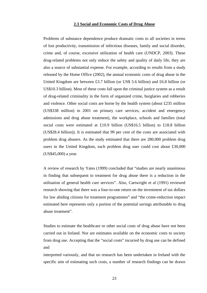#### **2.3 Social and Economic Costs of Drug Abuse**

Problems of substance dependence produce dramatic costs to all societies in terms of lost productivity, transmission of infectious diseases, family and social disorder, crime and, of course, excessive utilization of health care (UNDCP, 2003). These drug-related problems not only reduce the safety and quality of daily life, they are also a source of substantial expense. For example, according to results from a study released by the Home Office (2002), the annual economic costs of drug abuse in the United Kingdom are between £3.7 billion (or US\$ 5.6 billion) and £6.8 billion (or US\$10.3 billion). Most of these costs fall upon the criminal justice system as a result of drug-related criminality in the form of organized crime, burglaries and robberies and violence. Other social costs are borne by the health system (about £235 million (US\$338 million) in 2001 on primary care services, accident and emergency admissions and drug abuse treatment), the workplace, schools and families (total social costs were estimated at £10.9 billion (US\$16.5 billion) to £18.8 billion (US\$28.4 billion)). It is estimated that 99 per cent of the costs are associated with problem drug abusers. As the study estimated that there are 280,000 problem drug users in the United Kingdom, each problem drug user could cost about £30,000 (US\$45,000) a year.

A review of research by Yates (1999) concluded that "studies are nearly unanimous in finding that subsequent to treatment for drug abuse there is a reduction in the utilisation of general health care services". Also, Cartwright et al (1991) reviewed research showing that there was a four-to-one return on the investment of tax dollars for law abiding citizens for treatment programmes" and "the crime-reduction impact estimated here represents only a portion of the potential savings attributable to drug abuse treatment".

Studies to estimate the healthcare or other social costs of drug abuse have not been carried out in Ireland. Nor are estimates available on the economic costs to society from drug use. Accepting that the "social costs" incurred by drug use can be defined and

interpreted variously, and that no research has been undertaken in Ireland with the specific aim of estimating such costs, a number of research findings can be drawn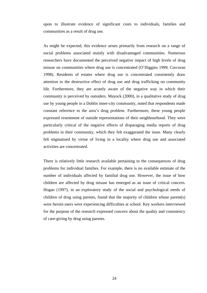upon to illustrate evidence of significant costs to individuals, families and communities as a result of drug use.

As might be expected, this evidence arises primarily from research on a range of social problems associated mainly with disadvantaged communities. Numerous researchers have documented the perceived negative impact of high levels of drug misuse on communities where drug use is concentrated (O'Higgins 1999; Corcoran 1998). Residents of estates where drug use is concentrated consistently draw attention to the destructive effect of drug use and drug trafficking on community life. Furthermore, they are acutely aware of the negative way in which their community is perceived by outsiders. Mayock (2000), in a qualitative study of drug use by young people in a Dublin inner-city community, noted that respondents made constant reference to the area's drug problem. Furthermore, these young people expressed resentment of outside representations of their neighbourhood. They were particularly critical of the negative effects of disparaging media reports of drug problems in their community, which they felt exaggerated the issue. Many clearly felt stigmatised by virtue of living in a locality where drug use and associated activities are concentrated.

There is relatively little research available pertaining to the consequences of drug problems for individual families. For example, there is no available estimate of the number of individuals affected by familial drug use. However, the issue of how children are affected by drug misuse has emerged as an issue of critical concern. Hogan (1997), in an exploratory study of the social and psychological needs of children of drug using parents, found that the majority of children whose parent(s) were heroin users were experiencing difficulties at school. Key workers interviewed for the purpose of the research expressed concern about the quality and consistency of care-giving by drug using parents.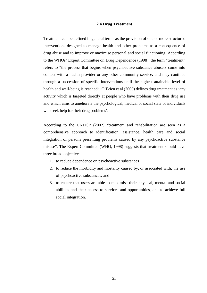#### **2.4 Drug Treatment**

Treatment can be defined in general terms as the provision of one or more structured interventions designed to manage health and other problems as a consequence of drug abuse and to improve or maximise personal and social functioning. According to the WHOs' Expert Committee on Drug Dependence (1998), the term "treatment" refers to "the process that begins when psychoactive substance abusers come into contact with a health provider or any other community service, and may continue through a succession of specific interventions until the highest attainable level of health and well-being is reached". O'Brien et al (2000) defines drug treatment as 'any activity which is targeted directly at people who have problems with their drug use and which aims to ameliorate the psychological, medical or social state of individuals who seek help for their drug problems'.

According to the UNDCP (2002) "treatment and rehabilitation are seen as a comprehensive approach to identification, assistance, health care and social integration of persons presenting problems caused by any psychoactive substance misuse". The Expert Committee (WHO, 1998) suggests that treatment should have three broad objectives:

- 1. to reduce dependence on psychoactive substances
- 2. to reduce the morbidity and mortality caused by, or associated with, the use of psychoactive substances; and
- 3. to ensure that users are able to maximise their physical, mental and social abilities and their access to services and opportunities, and to achieve full social integration.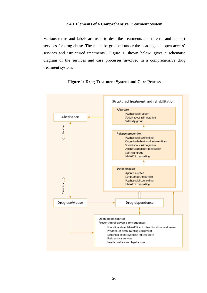#### **2.4.1 Elements of a Comprehensive Treatment System**

Various terms and labels are used to describe treatments and referral and support services for drug abuse. These can be grouped under the headings of 'open access' services and 'structured treatments'. Figure 1, shown below, gives a schematic diagram of the services and care processes involved in a comprehensive drug treatment system.



#### **Figure 1: Drug Treatment System and Care Process**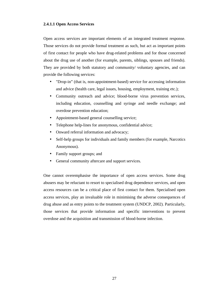#### **2.4.1.1 Open Access Services**

Open access services are important elements of an integrated treatment response. Those services do not provide formal treatment as such, but act as important points of first contact for people who have drug-related problems and for those concerned about the drug use of another (for example, parents, siblings, spouses and friends). They are provided by both statutory and community/ voluntary agencies, and can provide the following services:

- "Drop-in" (that is, non-appointment-based) service for accessing information and advice (health care, legal issues, housing, employment, training etc.);
- Community outreach and advice; blood-borne virus prevention services, including education, counselling and syringe and needle exchange; and overdose prevention education;
- Appointment-based general counselling service;
- Telephone help-lines for anonymous, confidential advice;
- Onward referral information and advocacy;
- Self-help groups for individuals and family members (for example, Narcotics Anonymous).
- Family support groups; and
- General community aftercare and support services.

One cannot overemphasise the importance of open access services. Some drug abusers may be reluctant to resort to specialised drug dependence services, and open access resources can be a critical place of first contact for them. Specialised open access services, play an invaluable role in minimising the adverse consequences of drug abuse and as entry points to the treatment system (UNDCP, 2002). Particularly, those services that provide information and specific interventions to prevent overdose and the acquisition and transmission of blood-borne infection.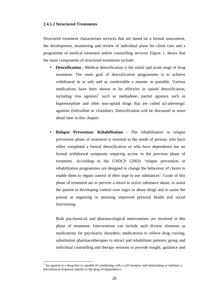#### **2.4.1.2 Structured Treatments**

Structured treatment characterises services that are based on a formal assessment, the development, monitoring and review of individual plans for client care and a programme of medical treatment and/or counselling services. Figure 1, shows that the main components of structured treatments include:

- **Detoxification** Medical detoxification is the initial and acute stage of drug treatment. The main goal of detoxification programmes is to achieve withdrawal in as safe and as comfortable a manner as possible. Various medications have been shown to be effective in opioid detoxification, including true agonists<sup>5</sup> such as methadone, partial agonists such as buprenorphine and other non-opioid drugs that are called  $\alpha$ 2-adrenergic agonists (lofexidine or clonidine). Detoxification will be discussed in more detail later in this chapter.
- **Relapse Prevention/ Rehabilitation** The rehabilitation or relapse prevention phase of treatment is oriented to the needs of persons who have either completed a formal detoxification or who have dependence but no formal withdrawal symptoms requiring access to the previous phase of treatment. According to the UNDCP (2003) 'relapse prevention or rehabilitation programmes are designed to change the behaviour of clients to enable them to regain control of their urge to use substances'. Goals of this phase of treatment are to prevent a return to active substance abuse, to assist the patient in developing control over urges to abuse drugs and to assist the patient in regaining or attaining improved personal health and social functioning.

Both psychosocial and pharmacological interventions are involved in this phase of treatment. Interventions can include such diverse elements as medications for psychiatric disorders; medications to relieve drug craving; substitution pharmacotherapies to attract and rehabilitate patients; group and individual counselling and therapy sessions to provide insight, guidance and

 $\overline{a}$ 

<sup>&</sup>lt;sup>5</sup> An agonist is a drug that is capable of combining with a cell receptor and stimulating or initiates a biochemical response similar to the drug of dependence.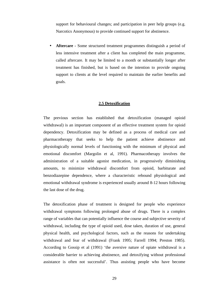support for behavioural changes; and participation in peer help groups (e.g. Narcotics Anonymous) to provide continued support for abstinence.

• **Aftercare -** Some structured treatment programmes distinguish a period of less intensive treatment after a client has completed the main programme, called aftercare. It may be limited to a month or substantially longer after treatment has finished, but is based on the intention to provide ongoing support to clients at the level required to maintain the earlier benefits and goals.

#### **2.5 Detoxification**

The previous section has established that detoxification (managed opioid withdrawal) is an important component of an effective treatment system for opioid dependency. Detoxification may be defined as a process of medical care and pharmacotherapy that seeks to help the patient achieve abstinence and physiologically normal levels of functioning with the minimum of physical and emotional discomfort (Margolin et al, 1991). Pharmacotherapy involves the administration of a suitable agonist medication, in progressively diminishing amounts, to minimize withdrawal discomfort from opioid, barbiturate and benzodiazepine dependence, where a characteristic rebound physiological and emotional withdrawal syndrome is experienced usually around 8-12 hours following the last dose of the drug.

The detoxification phase of treatment is designed for people who experience withdrawal symptoms following prolonged abuse of drugs. There is a complex range of variables that can potentially influence the course and subjective severity of withdrawal, including the type of opioid used, dose taken, duration of use, general physical health, and psychological factors, such as the reasons for undertaking withdrawal and fear of withdrawal (Frank 1995; Farrell 1994; Preston 1985). According to Gossip et al (1991) 'the aversive nature of opiate withdrawal is a considerable barrier to achieving abstinence, and detoxifying without professional assistance is often not successful'. Thus assisting people who have become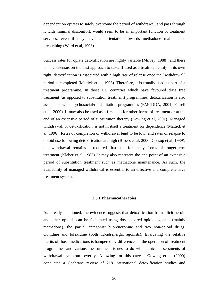dependent on opiates to safely overcome the period of withdrawal, and pass through it with minimal discomfort, would seem to be an important function of treatment services, even if they have an orientation towards methadone maintenance prescribing (Ward et al, 1998).

Success rates for opiate detoxification are highly variable (Milvey, 1988), and there is no consensus on the best approach to take. If used as a treatment entity in its own right, detoxification is associated with a high rate of relapse once the "withdrawal" period is completed (Mattick et al, 1996). Therefore, it is usually used as part of a treatment programme. In those EU countries which have favoured drug free treatment (as opposed to substitution treatment) programmes, detoxification is also associated with psychosocial/rehabilitation programmes (EMCDDA, 2001; Farrell et al, 2000). It may also be used as a first step for other forms of treatment or at the end of an extensive period of substitution therapy (Gowing et al, 2001). Managed withdrawal, or detoxification, is not in itself a treatment for dependence (Mattick et al, 1996). Rates of completion of withdrawal tend to be low, and rates of relapse to opioid use following detoxification are high (Broers et al, 2000; Gossop et al, 1989), but withdrawal remains a required first step for many forms of longer-term treatment (Kleber et al, 1982). It may also represent the end point of an extensive period of substitution treatment such as methadone maintenance. As such, the availability of managed withdrawal is essential to an effective and comprehensive treatment system.

#### **2.5.1 Pharmacotherapies**

As already mentioned, the evidence suggests that detoxification from illicit heroin and other opioids can be facilitated using dose tapered opioid agonists (mainly methadone), the partial antagonist buprenorphine and two non-opioid drugs, clonidine and lofexidine (both  $\alpha$ 2-adrenergic agonists). Evaluating the relative merits of those medications is hampered by differences in the operation of treatment programmes and various measurement issues to do with clinical assessments of withdrawal symptom severity. Allowing for this caveat, Gowing et al (2000) conducted a Cochrane review of 218 international detoxification studies and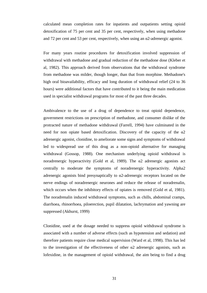calculated mean completion rates for inpatients and outpatients setting opioid detoxification of 75 per cent and 35 per cent, respectively, when using methadone and 72 per cent and 53 per cent, respectively, when using an  $\alpha$ 2-adrenergic agonist.

For many years routine procedures for detoxification involved suppression of withdrawal with methadone and gradual reduction of the methadone dose (Kleber et al, 1982). This approach derived from observations that the withdrawal syndrome from methadone was milder, though longer, than that from morphine. Methadone's high oral bioavailability, efficacy and long duration of withdrawal relief (24 to 36 hours) were additional factors that have contributed to it being the main medication used in specialist withdrawal programs for most of the past three decades.

Ambivalence to the use of a drug of dependence to treat opioid dependence, government restrictions on prescription of methadone, and consumer dislike of the protracted nature of methadone withdrawal (Farrell, 1994) have culminated in the need for non opiate based detoxification. Discovery of the capacity of the  $\alpha$ 2 adrenergic agonist, clonidine, to ameliorate some signs and symptoms of withdrawal led to widespread use of this drug as a non-opioid alternative for managing withdrawal (Gossop, 1988). One mechanism underlying opioid withdrawal is noradrenergic hyperactivity (Gold et al, 1989). The  $\alpha$ 2 adrenergic agonists act centrally to moderate the symptoms of noradrenergic hyperactivity. Alpha2 adrenergic agonists bind presynaptically to  $\alpha$ 2-adrenergic receptors located on the nerve endings of noradrenergic neurones and reduce the release of noradrenalin, which occurs when the inhibitory effects of opiates is removed (Gold et al, 1981). The noradrenalin induced withdrawal symptoms, such as chills, abdominal cramps, diarrhoea, rhinorrhoea, piloerection, pupil dilatation, lachrymation and yawning are suppressed (Akhurst, 1999)

Clonidine, used at the dosage needed to suppress opioid withdrawal syndrome is associated with a number of adverse effects (such as hypotension and sedation) and therefore patients require close medical supervision (Ward et al, 1998). This has led to the investigation of the effectiveness of other  $\alpha$ 2 adrenergic agonists, such as lofexidine, in the management of opioid withdrawal, the aim being to find a drug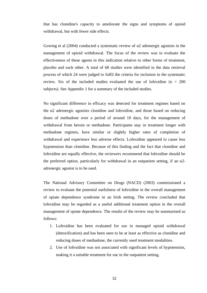that has clonidine's capacity to ameliorate the signs and symptoms of opioid withdrawal, but with fewer side effects.

Gowing et al (2004) conducted a systematic review of  $\alpha$ 2 adrenergic agonists in the management of opioid withdrawal. The focus of the review was to evaluate the effectiveness of these agents in this indication relative to other forms of treatment, placebo and each other. A total of 68 studies were identified in the data retrieval process of which 24 were judged to fulfil the criteria for inclusion in the systematic review. Six of the included studies evaluated the use of lofexidine  $(n = 200$ subjects). See Appendix 1 for a summary of the included studies.

No significant difference in efficacy was detected for treatment regimes based on the  $\alpha$ 2 adrenergic agonists clonidine and lofexidine, and those based on reducing doses of methadone over a period of around 10 days, for the management of withdrawal from heroin or methadone. Participants stay in treatment longer with methadone regimes, have similar or slightly higher rates of completion of withdrawal and experience less adverse effects. Lofexidine appeared to cause less hypotension than clonidine. Because of this finding and the fact that clonidine and lofexidine are equally effective, the reviewers recommend that lofexidine should be the preferred option, particularly for withdrawal in an outpatient setting, if an  $\alpha$ 2adrenergic agonist is to be used.

The National Advisory Committee on Drugs (NACD) (2003) commissioned a review to evaluate the potential usefulness of lofexidine in the overall management of opiate dependence syndrome in an Irish setting. The review concluded that lofexidine may be regarded as a useful additional treatment option in the overall management of opiate dependence. The results of the review may be summarised as follows:

- 1. Lofexidine has been evaluated for use in managed opioid withdrawal (detoxification) and has been seen to be at least as effective as clonidine and reducing doses of methadone, the currently used treatment modalities.
- 2. Use of lofexidine was not associated with significant levels of hypotension, making it a suitable treatment for use in the outpatient setting.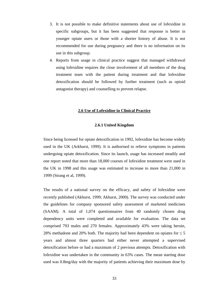- 3. It is not possible to make definitive statements about use of lofexidine in specific subgroups, but it has been suggested that response is better in younger opiate users or those with a shorter history of abuse. It is not recommended for use during pregnancy and there is no information on its use in this subgroup.
- 4. Reports from usage in clinical practice suggest that managed withdrawal using lofexidine requires the close involvement of all members of the drug treatment team with the patient during treatment and that lofexidine detoxification should be followed by further treatment (such as opioid antagonist therapy) and counselling to prevent relapse.

#### **2.6 Use of Lofexidine in Clinical Practice**

#### **2.6.1 United Kingdom**

Since being licensed for opiate detoxification in 1992, lofexidine has become widely used in the UK (Arkhurst, 1999). It is authorised to relieve symptoms in patients undergoing opiate detoxification. Since its launch, usage has increased steadily and one report noted that more than 18,000 courses of lofexidine treatment were used in the UK in 1998 and this usage was estimated to increase to more than 21,000 in 1999 (Strang et al, 1999).

The results of a national survey on the efficacy, and safety of lofexidine were recently published (Akhurst, 1999; Akhurst, 2000). The survey was conducted under the guidelines for company sponsored safety assessment of marketed medicines (SAAM). A total of 1,074 questionnaires from 40 randomly chosen drug dependency units were completed and available for evaluation. The data set comprised 793 males and 270 females. Approximately 43% were taking heroin, 28% methadone and 20% both. The majority had been dependent on opiates for  $\leq 5$ years and almost three quarters had either never attempted a supervised detoxification before or had a maximum of 2 previous attempts. Detoxification with lofexidine was undertaken in the community in 63% cases. The mean starting dose used was 0.8mg/day with the majority of patients achieving their maximum dose by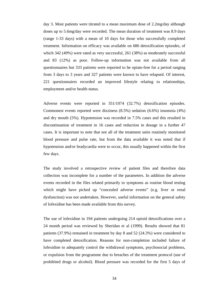day 3. Most patients were titrated to a mean maximum dose of 2.2mg/day although doses up to 5.6mg/day were recorded. The mean duration of treatment was 8.9 days (range 1-33 days) with a mean of 10 days for those who successfully completed treatment. Information on efficacy was available on 686 detoxification episodes, of which 342 (49%) were rated as very successful, 261 (38%) as moderately successful and 83 (12%) as poor. Follow-up information was not available from all questionnaires but 333 patients were reported to be opiate-free for a period ranging from 3 days to 3 years and 327 patients were known to have relapsed. Of interest, 221 questionnaires recorded an improved lifestyle relating to relationships, employment and/or health status.

Adverse events were reported in 351/1074 (32.7%) detoxification episodes. Commonest events reported were dizziness (8.5%) sedation (6.6%) insomnia (4%) and dry mouth (5%). Hypotension was recorded in 7.5% cases and this resulted in discontinuation of treatment in 16 cases and reduction in dosage in a further 47 cases. It is important to note that not all of the treatment units routinely monitored blood pressure and pulse rate, but from the data available it was noted that if hypotension and/or bradycardia were to occur, this usually happened within the first few days.

The study involved a retrospective review of patient files and therefore data collection was incomplete for a number of the parameters. In addition the adverse events recorded in the files related primarily to symptoms as routine blood testing which might have picked up "concealed adverse events" (e.g. liver or renal dysfunction) was not undertaken. However, useful information on the general safety of lofexidine has been made available from this survey.

The use of lofexidine in 194 patients undergoing 214 opioid detoxifications over a 24 month period was reviewed by Sheridan et al (1999). Results showed that 81 patients (37.9%) remained in treatment by day 8 and 52 (24.3%) were considered to have completed detoxification. Reasons for non-completion included failure of lofexidine to adequately control the withdrawal symptoms, psychosocial problems, or expulsion from the programme due to breaches of the treatment protocol (use of prohibited drugs or alcohol). Blood pressure was recorded for the first 5 days of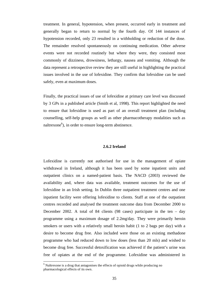treatment. In general, hypotension, when present, occurred early in treatment and generally began to return to normal by the fourth day. Of 144 instances of hypotension recorded, only 23 resulted in a withholding or reduction of the dose. The remainder resolved spontaneously on continuing medication. Other adverse events were not recorded routinely but where they were, they consisted most commonly of dizziness, drowsiness, lethargy, nausea and vomiting. Although the data represent a retrospective review they are still useful in highlighting the practical issues involved in the use of lofexidine. They confirm that lofexidine can be used safely, even at maximum doses.

Finally, the practical issues of use of lofexidine at primary care level was discussed by 3 GPs in a published article (Smith et al, 1998). This report highlighted the need to ensure that lofexidine is used as part of an overall treatment plan (including counselling, self-help groups as well as other pharmacotherapy modalities such as naltrexone<sup>6</sup>), in order to ensure long-term abstinence.

#### **2.6.2 Ireland**

Lofexidine is currently not authorised for use in the management of opiate withdrawal in Ireland, although it has been used by some inpatient units and outpatient clinics on a named-patient basis. The NACD (2003) reviewed the availability and, where data was available, treatment outcomes for the use of lofexidine in an Irish setting. In Dublin three outpatient treatment centres and one inpatient facility were offering lofexidine to clients. Staff at one of the outpatient centres recorded and analysed the treatment outcome data from December 2000 to December 2002. A total of 84 clients (98 cases) participate in the ten  $-$  day programme using a maximum dosage of 2.2mg/day. They were primarily heroin smokers or users with a relatively small heroin habit (1 to 2 bags per day) with a desire to become drug free. Also included were those on an existing methadone programme who had reduced down to low doses (less than 20 mls) and wished to become drug free. Successful detoxification was achieved if the patient's urine was free of opiates at the end of the programme. Lofexidine was administered in

 $\overline{a}$ 

<sup>&</sup>lt;sup>6</sup> Naltrexone is a drug that antagonises the effects of opioid drugs while producing no pharmacological effects of its own.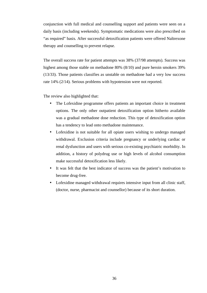conjunction with full medical and counselling support and patients were seen on a daily basis (including weekends). Symptomatic medications were also prescribed on "as required" basis. After successful detoxification patients were offered Naltrexone therapy and counselling to prevent relapse.

The overall success rate for patient attempts was 38% (37/98 attempts). Success was highest among those stable on methadone 80% (8/10) and pure heroin smokers 39% (13/33). Those patients classifies as unstable on methadone had a very low success rate 14% (2/14). Serious problems with hypotension were not reported.

The review also highlighted that:

- The Lofexidine programme offers patients an important choice in treatment options. The only other outpatient detoxification option hitherto available was a gradual methadone dose reduction. This type of detoxification option has a tendency to lead onto methadone maintenance.
- Lofexidine is not suitable for all opiate users wishing to undergo managed withdrawal. Exclusion criteria include pregnancy or underlying cardiac or renal dysfunction and users with serious co-existing psychiatric morbidity. In addition, a history of polydrug use or high levels of alcohol consumption make successful detoxification less likely.
- It was felt that the best indicator of success was the patient's motivation to become drug-free.
- Lofexidine managed withdrawal requires intensive input from all clinic staff, (doctor, nurse, pharmacist and counsellor) because of its short duration.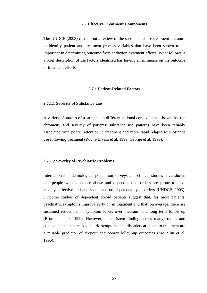### **2.7 Effective Treatment Components**

The UNDCP (2003) carried out a review of the substance abuse treatment literature to identify patient and treatment process variables that have been shown to be important in determining outcome from addiction treatment efforts. What follows is a brief description of the factors identified has having an influence on the outcome of treatment efforts.

### **2.7.1 Patient-Related Factors**

#### **2.7.1.1 Severity of Substance Use**

A variety of studies of treatments in different national contexts have shown that the chronicity and severity of patients' substance use patterns have been reliably associated with poorer retention in treatment and more rapid relapse to substance use following treatment (Rouns-Bryant et al, 1999; George et al, 1999).

#### **2.7.1.2 Severity of Psychiatric Problems**

International epidemiological population surveys and clinical studies have shown that people with substance abuse and dependence disorders are prone to have anxiety, affective and anti-social and other personality disorders (UNDCP, 2003). Outcome studies of dependent opioid patients suggest that, for most patients, psychiatric symptoms improve early on in treatment and that, on average, there are sustained reductions in symptom levels over medium- and long term follow-up (Bromme et al, 1999). However, a consistent finding across many studies and contexts is that severe psychiatric symptoms and disorders at intake to treatment are a reliable predictor of dropout and poorer follow-up outcomes (McLellin et al, 1996).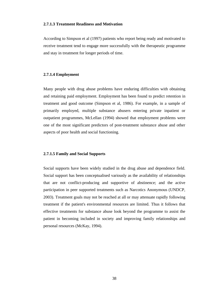### **2.7.1.3 Treatment Readiness and Motivation**

According to Simpson et al (1997) patients who report being ready and motivated to receive treatment tend to engage more successfully with the therapeutic programme and stay in treatment for longer periods of time.

# **2.7.1.4 Employment**

Many people with drug abuse problems have enduring difficulties with obtaining and retaining paid employment. Employment has been found to predict retention in treatment and good outcome (Simpson et al, 1986). For example, in a sample of primarily employed, multiple substance abusers entering private inpatient or outpatient programmes, McLellan (1994) showed that employment problems were one of the most significant predictors of post-treatment substance abuse and other aspects of poor health and social functioning.

### **2.7.1.5 Family and Social Supports**

Social supports have been widely studied in the drug abuse and dependence field. Social support has been conceptualised variously as the availability of relationships that are not conflict-producing and supportive of abstinence; and the active participation in peer supported treatments such as Narcotics Anonymous (UNDCP, 2003). Treatment goals may not be reached at all or may attenuate rapidly following treatment if the patient's environmental resources are limited. Thus it follows that effective treatments for substance abuse look beyond the programme to assist the patient in becoming included in society and improving family relationships and personal resources (McKay, 1994).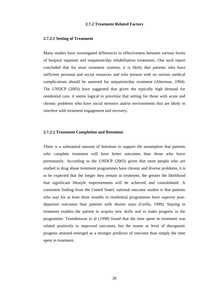#### **2.7.2 Treatment Related Factors**

### **2.7.2.1 Setting of Treatment**

Many studies have investigated differences in effectiveness between various forms of hospital inpatient and outpatient/day rehabilitation treatments. One such report concluded that for most treatment systems, it is likely that patients who have sufficient personal and social resources and who present with no serious medical complications should be assessed for outpatient/day treatment (Alterman, 1994). The UNDCP (2003) have suggested that given the typically high demand for residential care, it seems logical to prioritize that setting for those with acute and chronic problems who have social stressors and/or environments that are likely to interfere with treatment engagement and recovery.

### **2.7.2.2 Treatment Completion and Retention**

There is a substantial amount of literature to support the assumption that patients who complete treatment will have better outcomes than those who leave prematurely. According to the UNDCP (2003) given that most people who are studied in drug abuse treatment programmes have chronic and diverse problems, it is to be expected that the longer they remain in treatment, the greater the likelihood that significant lifestyle improvements will be achieved and consolidated. A consistent finding from the United States' national outcome studies is that patients who stay for at least three months in residential programmes have superior postdeparture outcomes than patients with shorter stays (Grella, 1999). Staying in treatment enables the patient to acquire new skills and to make progress in the programme. Toumbourou et al (1998) found that the time spent in treatment was related positively to improved outcomes, but the extent or level of therapeutic progress attained emerged as a stronger predictor of outcome than simply the time spent in treatment.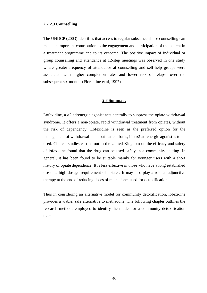#### **2.7.2.3 Counselling**

The UNDCP (2003) identifies that access to regular substance abuse counselling can make an important contribution to the engagement and participation of the patient in a treatment programme and to its outcome. The positive impact of individual or group counselling and attendance at 12-step meetings was observed in one study where greater frequency of attendance at counselling and self-help groups were associated with higher completion rates and lower risk of relapse over the subsequent six months (Fiorentine et al, 1997)

### **2.8 Summary**

Lofexidine, a  $\alpha$ 2 adrenergic agonist acts centrally to suppress the opiate withdrawal syndrome. It offers a non-opiate, rapid withdrawal treatment from opiates, without the risk of dependency. Lofexidine is seen as the preferred option for the management of withdrawal in an out-patient basis, if a  $\alpha$ 2-adrenergic agonist is to be used. Clinical studies carried out in the United Kingdom on the efficacy and safety of lofexidine found that the drug can be used safely in a community stetting. In general, it has been found to be suitable mainly for younger users with a short history of opiate dependence. It is less effective in those who have a long established use or a high dosage requirement of opiates. It may also play a role as adjunctive therapy at the end of reducing doses of methadone, used for detoxification.

Thus in considering an alternative model for community detoxification, lofexidine provides a viable, safe alternative to methadone. The following chapter outlines the research methods employed to identify the model for a community detoxification team.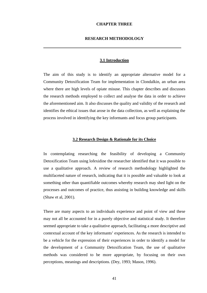### **CHAPTER THREE**

### **RESEARCH METHODOLOGY**

# **3.1 Introduction**

The aim of this study is to identify an appropriate alternative model for a Community Detoxification Team for implementation in Clondalkin, an urban area where there are high levels of opiate misuse. This chapter describes and discusses the research methods employed to collect and analyse the data in order to achieve the aforementioned aim. It also discusses the quality and validity of the research and identifies the ethical issues that arose in the data collection, as well as explaining the process involved in identifying the key informants and focus group participants.

### **3.2 Research Design & Rationale for its Choice**

In contemplating researching the feasibility of developing a Community Detoxification Team using lofexidine the researcher identified that it was possible to use a qualitative approach. A review of research methodology highlighted the multifaceted nature of research, indicating that it is possible and valuable to look at something other than quantifiable outcomes whereby research may shed light on the processes and outcomes of practice, thus assisting in building knowledge and skills (Shaw et al, 2001).

There are many aspects to an individuals experience and point of view and these may not all be accounted for in a purely objective and statistical study. It therefore seemed appropriate to take a qualitative approach, facilitating a more descriptive and contextual account of the key informants' experiences. As the research is intended to be a vehicle for the expression of their experiences in order to identify a model for the development of a Community Detoxification Team, the use of qualitative methods was considered to be more appropriate, by focusing on their own perceptions, meanings and descriptions. (Dey, 1993; Mason, 1996).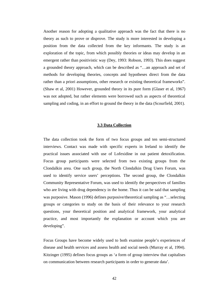Another reason for adopting a qualitative approach was the fact that there is no theory as such to prove or disprove. The study is more interested in developing a position from the data collected from the key informants. The study is an exploration of the topic, from which possibly theories or ideas may develop in an emergent rather than positivistic way (Dey, 1993: Robson, 1993). This does suggest a grounded theory approach, which can be described as "…an approach and set of methods for developing theories, concepts and hypotheses direct from the data rather than a priori assumptions, other research or existing theoretical frameworks". (Shaw et al, 2001) However, grounded theory in its pure form (Glaser et al, 1967) was not adopted, but rather elements were borrowed such as aspects of theoretical sampling and coding, in an effort to ground the theory in the data (Scourfield, 2001).

### **3.3 Data Collection**

The data collection took the form of two focus groups and ten semi-structured interviews. Contact was made with specific experts in Ireland to identify the practical issues associated with use of Lofexidine in out patient detoxification. Focus group participants were selected from two existing groups from the Clondalkin area. One such group, the North Clondalkin Drug Users Forum, was used to identify service users' perceptions. The second group, the Clondalkin Community Representative Forum, was used to identify the perspectives of families who are living with drug dependency in the home. Thus it can be said that sampling was purposive. Mason (1996) defines purposive/theoretical sampling as "…selecting groups or categories to study on the basis of their relevance to your research questions, your theoretical position and analytical framework, your analytical practice, and most importantly the explanation or account which you are developing".

Focus Groups have become widely used to both examine people's experiences of disease and health services and assess health and social needs (Murray et al, 1994). Kitzinger (1995) defines focus groups as 'a form of group interview that capitalises on communication between research participants in order to generate data'.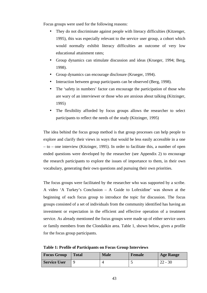Focus groups were used for the following reasons:

- They do not discriminate against people with literacy difficulties (Kitzenger, 1995), this was especially relevant to the service user group, a cohort which would normally exhibit literacy difficulties an outcome of very low educational attainment rates;
- Group dynamics can stimulate discussion and ideas (Krueger, 1994; Berg, 1998).
- Group dynamics can encourage disclosure (Krueger, 1994).
- Interaction between group participants can be observed (Berg, 1998).
- The 'safety in numbers' factor can encourage the participation of those who are wary of an interviewer or those who are anxious about talking (Kitzinger, 1995)
- The flexibility afforded by focus groups allows the researcher to select participants to reflect the needs of the study (Kitzinger, 1995)

The idea behind the focus group method is that group processes can help people to explore and clarify their views in ways that would be less easily accessible in a one – to – one interview (Kitzinger, 1995). In order to facilitate this, a number of open ended questions were developed by the researcher (see Appendix 2) to encourage the research participants to explore the issues of importance to them, in their own vocabulary, generating their own questions and pursuing their own priorities.

The focus groups were facilitated by the researcher who was supported by a scribe. A video 'A Turkey's Conclusion – A Guide to Lofexidine' was shown at the beginning of each focus group to introduce the topic for discussion. The focus groups consisted of a set of individuals from the community identified has having an investment or expectation in the efficient and effective operation of a treatment service. As already mentioned the focus groups were made up of either service users or family members from the Clondalkin area. Table 1, shown below, gives a profile for the focus group participants.

**Table 1: Profile of Participants on Focus Group Interviews** 

| <b>Focus Group</b>  | Total | <b>Male</b> | <b>Female</b> | <b>Age Range</b> |
|---------------------|-------|-------------|---------------|------------------|
| <b>Service User</b> |       |             |               | $22 - 30$        |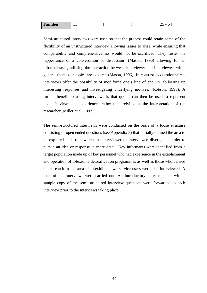| <b>Families</b> | <b>.</b> |  | $\tilde{\phantom{a}}$<br>$\sim$ $\sim$<br>-<br>~<br>~~<br>ັ |
|-----------------|----------|--|-------------------------------------------------------------|
|                 |          |  |                                                             |

Semi-structured interviews were used so that the process could retain some of the flexibility of an unstructured interview allowing issues to arise, while ensuring that comparability and comprehensiveness would not be sacrificed. They foster the 'appearance of a conversation or discussion' (Mason, 1996) allowing for an informal style, utilising the interaction between interviewer and interviewee, while general themes or topics are covered (Mason, 1996). In contrast to questionnaires, interviews offer the possibility of modifying one's line of enquiry, following up interesting responses and investigating underlying motives. (Robson, 1993). A further benefit to using interviews is that quotes can then be used to represent people's views and experiences rather than relying on the interpretation of the researcher (Miller et al, 1997).

The semi-structured interviews were conducted on the basis of a loose structure consisting of open ended questions (see Appendix 3) that initially defined the area to be explored and from which the interviewer or interviewee diverged in order to pursue an idea or response in more detail. Key informants were identified from a target population made up of key personnel who had experience in the establishment and operation of lofexidine detoxification programmes as well as those who carried out research in the area of lofexidine. Two service users were also interviewed. A total of ten interviews were carried out. An introductory letter together with a sample copy of the semi structured interview questions were forwarded to each interview prior to the interviews taking place.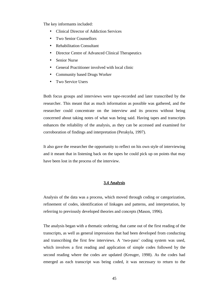The key informants included:

- Clinical Director of Addiction Services
- Two Senior Counsellors
- Rehabilitation Consultant
- Director Centre of Advanced Clinical Therapeutics
- **Senior Nurse**
- General Practitioner involved with local clinic
- Community based Drugs Worker
- Two Service Users

Both focus groups and interviews were tape-recorded and later transcribed by the researcher. This meant that as much information as possible was gathered, and the researcher could concentrate on the interview and its process without being concerned about taking notes of what was being said. Having tapes and transcripts enhances the reliability of the analysis, as they can be accessed and examined for corroboration of findings and interpretation (Perakyla, 1997).

It also gave the researcher the opportunity to reflect on his own style of interviewing and it meant that in listening back on the tapes he could pick up on points that may have been lost in the process of the interview.

### **3.4 Analysis**

Analysis of the data was a process, which moved through coding or categorization, refinement of codes, identification of linkages and patterns, and interpretation, by referring to previously developed theories and concepts (Mason, 1996).

The analysis began with a thematic ordering, that came out of the first reading of the transcripts, as well as general impressions that had been developed from conducting and transcribing the first few interviews. A 'two-pass' coding system was used, which involves a first reading and application of simple codes followed by the second reading where the codes are updated (Kreuger, 1998). As the codes had emerged as each transcript was being coded, it was necessary to return to the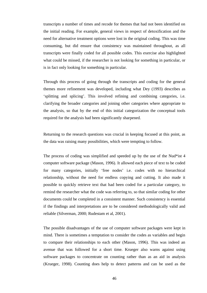transcripts a number of times and recode for themes that had not been identified on the initial reading. For example, general views in respect of detoxification and the need for alternative treatment options were lost in the original coding. This was time consuming, but did ensure that consistency was maintained throughout, as all transcripts were finally coded for all possible codes. This exercise also highlighted what could be missed, if the researcher is not looking for something in particular, or is in fact only looking for something in particular.

Through this process of going through the transcripts and coding for the general themes more refinement was developed, including what Dey (1993) describes as 'splitting and splicing'. This involved refining and combining categories, i.e. clarifying the broader categories and joining other categories where appropriate to the analysis, so that by the end of this initial categorization the conceptual tools required for the analysis had been significantly sharpened.

Returning to the research questions was crucial in keeping focused at this point, as the data was raising many possibilities, which were tempting to follow.

The process of coding was simplified and speeded up by the use of the Nud\*ist 4 computer software package (Mason, 1996). It allowed each piece of text to be coded for many categories, initially 'free nodes' i.e. codes with no hierarchical relationship, without the need for endless copying and cutting. It also made it possible to quickly retrieve text that had been coded for a particular category, to remind the researcher what the code was referring to, so that similar coding for other documents could be completed in a consistent manner. Such consistency is essential if the findings and interpretations are to be considered methodologically valid and reliable (Silverman, 2000; Rudestam et al, 2001).

The possible disadvantages of the use of computer software packages were kept in mind. There is sometimes a temptation to consider the codes as variables and begin to compare their relationships to each other (Mason, 1996). This was indeed an avenue that was followed for a short time. Krueger also warns against using software packages to concentrate on counting rather than as an aid in analysis (Krueger, 1998). Counting does help to detect patterns and can be used as the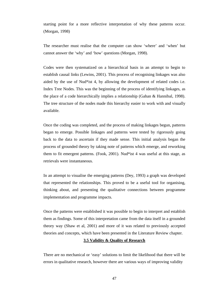starting point for a more reflective interpretation of why these patterns occur. (Morgan, 1998)

The researcher must realise that the computer can show 'where' and 'when' but cannot answer the 'why' and 'how' questions (Morgan, 1998).

Codes were then systematized on a hierarchical basis in an attempt to begin to establish causal links (Lewins, 2001). This process of recognising linkages was also aided by the use of Nud\*ist 4, by allowing the development of related codes i.e. Index Tree Nodes. This was the beginning of the process of identifying linkages, as the place of a code hierarchically implies a relationship (Gahan & Hannibal, 1998). The tree structure of the nodes made this hierarchy easier to work with and visually available.

Once the coding was completed, and the process of making linkages begun, patterns began to emerge. Possible linkages and patterns were tested by rigorously going back to the data to ascertain if they made sense. This initial analysis began the process of grounded theory by taking note of patterns which emerge, and reworking them to fit emergent patterns. (Fook, 2001). Nud\*ist 4 was useful at this stage, as retrievals were instantaneous.

In an attempt to visualise the emerging patterns (Dey, 1993) a graph was developed that represented the relationships. This proved to be a useful tool for organising, thinking about, and presenting the qualitative connections between programme implementation and programme impacts.

Once the patterns were established it was possible to begin to interpret and establish them as findings. Some of this interpretation came from the data itself in a grounded theory way (Shaw et al, 2001) and more of it was related to previously accepted theories and concepts, which have been presented in the Literature Review chapter.

### **3.5 Validity & Quality of Research**

There are no mechanical or 'easy' solutions to limit the likelihood that there will be errors in qualitative research, however there are various ways of improving validity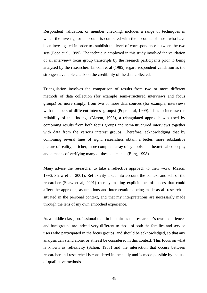Respondent validation, or member checking, includes a range of techniques in which the investigator's account is compared with the accounts of those who have been investigated in order to establish the level of correspondence between the two sets (Pope et al, 1999). The technique employed in this study involved the validation of all interview/ focus group transcripts by the research participants prior to being analysed by the researcher. Lincoln et al (1985) regard respondent validation as the strongest available check on the credibility of the data collected.

Triangulation involves the comparison of results from two or more different methods of data collection (for example semi-structured interviews and focus groups) or, more simply, from two or more data sources (for example, interviews with members of different interest groups) (Pope et al, 1999). Thus to increase the reliability of the findings (Mason, 1996), a triangulated approach was used by combining results from both focus groups and semi-structured interviews together with data from the various interest groups. Therefore, acknowledging that by combining several lines of sight, researchers obtain a better, more substantive picture of reality; a richer, more complete array of symbols and theoretical concepts; and a means of verifying many of these elements. (Berg, 1998)

Many advise the researcher to take a reflective approach to their work (Mason, 1996; Shaw et al, 2001). Reflexivity takes into account the context and self of the researcher (Shaw et al, 2001) thereby making explicit the influences that could affect the approach, assumptions and interpretations being made as all research is situated in the personal context, and that my interpretations are necessarily made through the lens of my own embodied experience.

As a middle class, professional man in his thirties the researcher's own experiences and background are indeed very different to those of both the families and service users who participated in the focus groups, and should be acknowledged, so that any analysis can stand alone, or at least be considered in this context. This focus on what is known as reflexivity (Schon, 1983) and the interaction that occurs between researcher and researched is considered in the study and is made possible by the use of qualitative methods.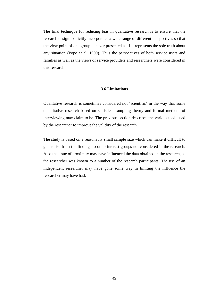The final technique for reducing bias in qualitative research is to ensure that the research design explicitly incorporates a wide range of different perspectives so that the view point of one group is never presented as if it represents the sole truth about any situation (Pope et al, 1999). Thus the perspectives of both service users and families as well as the views of service providers and researchers were considered in this research.

### **3.6 Limitations**

Qualitative research is sometimes considered not 'scientific' in the way that some quantitative research based on statistical sampling theory and formal methods of interviewing may claim to be. The previous section describes the various tools used by the researcher to improve the validity of the research.

The study is based on a reasonably small sample size which can make it difficult to generalise from the findings to other interest groups not considered in the research. Also the issue of proximity may have influenced the data obtained in the research, as the researcher was known to a number of the research participants. The use of an independent researcher may have gone some way in limiting the influence the researcher may have had.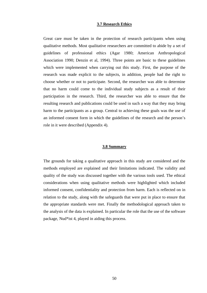#### **3.7 Research Ethics**

Great care must be taken in the protection of research participants when using qualitative methods. Most qualitative researchers are committed to abide by a set of guidelines of professional ethics (Agar 1980; American Anthropological Association 1990; Denzin et al, 1994). Three points are basic to these guidelines which were implemented when carrying out this study. First, the purpose of the research was made explicit to the subjects, in addition, people had the right to choose whether or not to participate. Second, the researcher was able to determine that no harm could come to the individual study subjects as a result of their participation in the research. Third, the researcher was able to ensure that the resulting research and publications could be used in such a way that they may bring harm to the participants as a group. Central to achieving these goals was the use of an informed consent form in which the guidelines of the research and the person's role in it were described (Appendix 4).

### **3.8 Summary**

The grounds for taking a qualitative approach in this study are considered and the methods employed are explained and their limitations indicated. The validity and quality of the study was discussed together with the various tools used. The ethical considerations when using qualitative methods were highlighted which included informed consent, confidentiality and protection from harm. Each is reflected on in relation to the study, along with the safeguards that were put in place to ensure that the appropriate standards were met. Finally the methodological approach taken to the analysis of the data is explained. In particular the role that the use of the software package, Nud\*ist 4, played in aiding this process.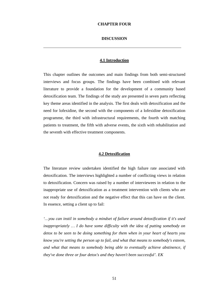### **CHAPTER FOUR**

### **DISCUSSION**

 $\overline{a}$ 

# **4.1 Introduction**

This chapter outlines the outcomes and main findings from both semi-structured interviews and focus groups. The findings have been combined with relevant literature to provide a foundation for the development of a community based detoxification team. The findings of the study are presented in seven parts reflecting key theme areas identified in the analysis. The first deals with detoxification and the need for lofexidine, the second with the components of a lofexidine detoxification programme, the third with infrastructural requirements, the fourth with matching patients to treatment, the fifth with adverse events, the sixth with rehabilitation and the seventh with effective treatment components.

### **4.2 Detoxification**

The literature review undertaken identified the high failure rate associated with detoxification. The interviews highlighted a number of conflicting views in relation to detoxification. Concern was raised by a number of interviewees in relation to the inappropriate use of detoxification as a treatment intervention with clients who are not ready for detoxification and the negative effect that this can have on the client. In essence, setting a client up to fail:

*'…you can instil in somebody a mindset of failure around detoxification if it's used inappropriately … I do have some difficulty with the idea of putting somebody on detox to be seen to be doing something for them when in your heart of hearts you know you're setting the person up to fail, and what that means to somebody's esteem, and what that means to somebody being able to eventually achieve abstinence, if they've done three or four detox's and they haven't been successful'. EK*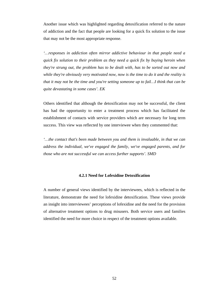Another issue which was highlighted regarding detoxification referred to the nature of addiction and the fact that people are looking for a quick fix solution to the issue that may not be the most appropriate response.

*'…responses in addiction often mirror addictive behaviour in that people need a quick fix solution to their problem as they need a quick fix by buying heroin when they're strung out, the problem has to be dealt with, has to be sorted out now and while they're obviously very motivated now, now is the time to do it and the reality is that it may not be the time and you're setting someone up to fail…I think that can be quite devastating in some cases'. EK* 

Others identified that although the detoxification may not be successful, the client has had the opportunity to enter a treatment process which has facilitated the establishment of contacts with service providers which are necessary for long term success. This view was reflected by one interviewee when they commented that:

*'…the contact that's been made between you and them is invaluable, in that we can address the individual, we've engaged the family, we've engaged parents, and for those who are not successful we can access further supports'. SMD* 

# **4.2.1 Need for Lofexidine Detoxification**

A number of general views identified by the interviewees, which is reflected in the literature, demonstrate the need for lofexidine detoxification. These views provide an insight into interviewees' perceptions of lofexidine and the need for the provision of alternative treatment options to drug misusers. Both service users and families identified the need for more choice in respect of the treatment options available.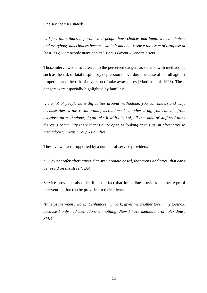One service user stated:

*'…I just think that's important that people have choices and families have choices and everybody has choices because while it may not resolve the issue of drug use at least it's giving people more choice'. Focus Group – Service Users* 

Those interviewed also referred to the perceived dangers associated with methadone, such as the risk of fatal respiratory depression in overdose, because of its full agonist properties and the risk of diversion of take-away doses (Mattick et al, 1998). These dangers were especially highlighted by families:

'… *a lot of people have difficulties around methadone, you can understand why, because there's the resale value, methadone is another drug, you can die from overdose on methadone, if you take it with alcohol, all that kind of stuff so I think there's a community there that is quite open to looking at this as an alternative to methadone'. Focus Group - Families* 

These views were supported by a number of service providers:

*'…why not offer alternatives that aren't opiate based, that aren't addictive, that can't be resold on the street'. DR* 

Service providers also identified the fact that lofexidine provides another type of intervention that can be provided to their clients.

*'It helps me when I work; it enhances my work, gives me another tool in my toolbox, because I only had methadone or nothing. Now I have methadone or lofexidine'. SMD*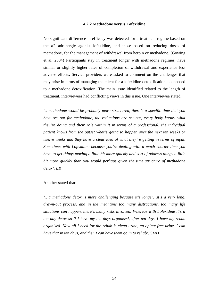#### **4.2.2 Methadone versus Lofexidine**

No significant difference in efficacy was detected for a treatment regime based on the  $\alpha$ 2 adrenergic agonist lofexidine, and those based on reducing doses of methadone, for the management of withdrawal from heroin or methadone. (Gowing et al, 2004) Participants stay in treatment longer with methadone regimes, have similar or slightly higher rates of completion of withdrawal and experience less adverse effects. Service providers were asked to comment on the challenges that may arise in terms of managing the client for a lofexidine detoxification as opposed to a methadone detoxification. The main issue identified related to the length of treatment, interviewees had conflicting views in this issue. One interviewee stated:

*'…methadone would be probably more structured, there's a specific time that you have set out for methadone, the reductions are set out, every body knows what they're doing and their role within it in terms of a professional, the individual patient knows from the outset what's going to happen over the next ten weeks or twelve weeks and they have a clear idea of what they're getting in terms of input. Sometimes with Lofexidine because you're dealing with a much shorter time you have to get things moving a little bit more quickly and sort of address things a little bit more quickly than you would perhaps given the time structure of methadone detox'. EK* 

#### Another stated that:

*'…a methadone detox is more challenging because it's longer…it's a very long, drawn-out process, and in the meantime too many distractions, too many life situations can happen, there's many risks involved. Whereas with Lofexidine it's a ten day detox so if I have my ten days organised, after ten days I have my rehab organised. Now all I need for the rehab is clean urine, an opiate free urine. I can have that in ten days, and then I can have them go in to rehab'. SMD*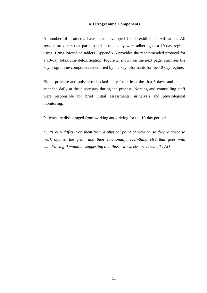### **4.3 Programme Components**

A number of protocols have been developed for lofexidine detoxification. All service providers that participated in this study were adhering to a 10-day regime using 0.2mg lofexidine tablets. Appendix 5 provides the recommended protocol for a 10-day lofexidine detoxification. Figure 2, shown on the next page, surmises the key programme components identified by the key informants for the 10-day regime.

Blood pressure and pulse are checked daily for at least the first 5 days, and clients attended daily at the dispensary during the process. Nursing and counselling staff were responsible for brief initial assessments, urinalysis and physiological monitoring.

Patients are discouraged from working and driving for the 10-day period:

*'…it's very difficult on them from a physical point of view cause they're trying to work against the grain and then emotionally, everything else that goes with withdrawing, I would be suggesting that those two weeks are taken off'. AD*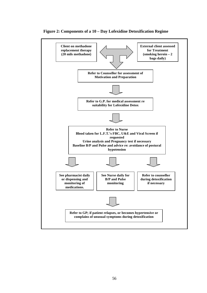

**Figure 2: Components of a 10 – Day Lofexidine Detoxification Regime**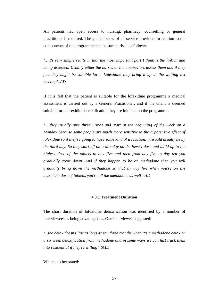All patients had open access to nursing, pharmacy, counselling or general practitioner if required. The general view of all service providers in relation to the components of the programme can be summarised as follows:

*'…it's very simple really in that the most important part I think is the link in and being assessed. Usually either the nurses or the counsellors assess them and if they feel they might be suitable for a Lofexidine they bring it up at the waiting list meeting'. AD* 

If it is felt that the patient is suitable for the lofexidine programme a medical assessment is carried out by a General Practitioner, and if the client is deemed suitable for a lofexidine detoxification they are initiated on the programme.

*'….they usually give three urines and start at the beginning of the week on a Monday because some people are much more sensitive to the hypotensive effect of lofexidine so if they're going to have some kind of a reaction, it would usually be by the third day. So they start off on a Monday on the lowest dose and build up to the highest dose of the tablets to day five and then from day five to day ten you gradually come down. And if they happen to be on methadone then you will gradually bring down the methadone so that by day five when you're on the maximum dose of tablets, you're off the methadone as well'. AD* 

### **4.3.1 Treatment Duration**

The short duration of lofexidine detoxification was identified by a number of interviewees as being advantageous. One interviewee suggested:

*'...the detox doesn't last as long as say three months when it's a methadone detox or a six week detoxification from methadone and in some ways we can fast track them into residential if they're willing'. SMD* 

While another stated: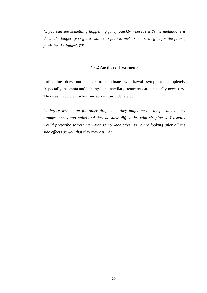*'…you can see something happening fairly quickly whereas with the methadone it does take longer...you get a chance to plan to make some strategies for the future, goals for the future'. EP* 

# **4.3.2 Ancillary Treatments**

Lofexidine does not appear to eliminate withdrawal symptoms completely (especially insomnia and lethargy) and ancillary treatments are unusually necessary. This was made clear when one service provider stated:

*'…they're written up for other drugs that they might need, say for any tummy cramps, aches and pains and they do have difficulties with sleeping so I usually would prescribe something which is non-addictive, so you're looking after all the side effects as well that they may get'. AD*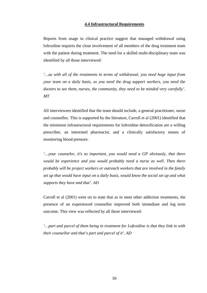### **4.4 Infrastructural Requirements**

Reports from usage in clinical practice suggest that managed withdrawal using lofexidine requires the close involvement of all members of the drug treatment team with the patient during treatment. The need for a skilled multi-disciplinary team was identified by all those interviewed:

*'…as with all of the treatments in terms of withdrawal, you need huge input from your team on a daily basis, so you need the drug support workers, you need the doctors to see them, nurses, the community, they need to be minded very carefully'. MT* 

All interviewees identified that the team should include, a general practitioner, nurse and counsellor. This is supported by the literature, Carroll et al (2001) identified that the minimum infrastructural requirements for lofexidine detoxification are a willing prescriber, an interested pharmacist, and a clinically satisfactory means of monitoring blood pressure.

*'…your counselor, it's so important, you would need a GP obviously, that there*  would be experience and you would probably need a nurse as well. Then there *probably will be project workers or outreach workers that are involved in the family set up that would have input on a daily basis, would know the social set up and what supports they have and that'. AD* 

Carroll et al (2001) went on to state that as in most other addiction treatments, the presence of an experienced counsellor improved both immediate and log term outcome. This view was reflected by all those interviewed:

*'…part and parcel of them being in treatment for Lofexidine is that they link in with their counsellor and that's part and parcel of it'. AD*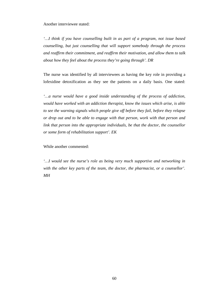Another interviewee stated:

*'…I think if you have counselling built in as part of a program, not issue based counselling, but just counselling that will support somebody through the process and reaffirm their commitment, and reaffirm their motivation, and allow them to talk about how they feel about the process they're going through'. DR* 

The nurse was identified by all interviewees as having the key role in providing a lofexidine detoxification as they see the patients on a daily basis. One stated:

*'…a nurse would have a good inside understanding of the process of addiction, would have worked with an addiction therapist, know the issues which arise, is able to see the warning signals which people give off before they fail, before they relapse or drop out and to be able to engage with that person, work with that person and link that person into the appropriate individuals, be that the doctor, the counsellor or some form of rehabilitation support'. EK* 

While another commented:

*'…I would see the nurse's role as being very much supportive and networking in with the other key parts of the team, the doctor, the pharmacist, or a counsellor'. MH*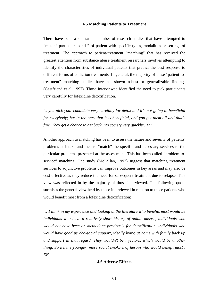### **4.5 Matching Patients to Treatment**

There have been a substantial number of research studies that have attempted to "match" particular "kinds" of patient with specific types, modalities or settings of treatment. The approach to patient-treatment "matching" that has received the greatest attention from substance abuse treatment researchers involves attempting to identify the characteristics of individual patients that predict the best response to different forms of addiction treatments. In general, the majority of these "patient-totreatment" matching studies have not shown robust or generalizable findings (Gastfriend et al, 1997). Those interviewed identified the need to pick participants very carefully for lofexidine detoxification.

*'…you pick your candidate very carefully for detox and it's not going to beneficial for everybody; but in the ones that it is beneficial, and you get them off and that's fine. They get a chance to get back into society very quickly'. MT* 

Another approach to matching has been to assess the nature and severity of patients' problems at intake and then to "match" the specific and necessary services to the particular problems presented at the assessment. This has been called "problem-toservice" matching. One study (McLellan, 1997) suggest that matching treatment services to adjunctive problems can improve outcomes in key areas and may also be cost-effective as they reduce the need for subsequent treatment due to relapse. This view was reflected in by the majority of those interviewed. The following quote surmises the general view held by those interviewed in relation to those patients who would benefit most from a lofexidine detoxification:

*'…I think in my experience and looking at the literature who benefits most would be individuals who have a relatively short history of opiate misuse, individuals who would not have been on methadone previously for detoxification, individuals who would have good psycho-social support, ideally living at home with family back up and support in that regard. They wouldn't be injectors, which would be another thing. So it's the younger, more social smokers of heroin who would benefit most'. EK*

# **4.6 Adverse Effects**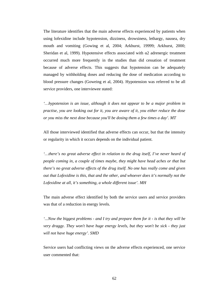The literature identifies that the main adverse effects experienced by patients when using lofexidine include hypotension, dizziness, drowsiness, lethargy, nausea, dry mouth and vomiting (Gowing et al, 2004; Arkhurst, 19999; Arkhurst, 2000; Sheridan et al, 1999). Hypotensive effects associated with  $\alpha$ 2 adrenergic treatment occurred much more frequently in the studies than did cessation of treatment because of adverse effects. This suggests that hypotension can be adequately managed by withholding doses and reducing the dose of medication according to blood pressure changes (Goweing et al, 2004). Hypotension was referred to be all service providers, one interviewee stated:

*'…hypotension is an issue, although it does not appear to be a major problem in practise, you are looking out for it, you are aware of it, you either reduce the dose or you miss the next dose because you'll be dosing them a few times a day'. MT* 

All those interviewed identified that adverse effects can occur, but that the intensity or regularity in which it occurs depends on the individual patient.

*'…there's no great adverse effect in relation to the drug itself, I've never heard of people coming in, a couple of times maybe, they might have head aches or that but there's no great adverse effects of the drug itself. No one has really come and given out that Lofexidine is this, that and the other, and whoever does it's normally not the Lofexidine at all, it's something, a whole different issue'. MH* 

The main adverse effect identified by both the service users and service providers was that of a reduction in energy levels.

*'...Now the biggest problems - and I try and prepare them for it - is that they will be very draggy. They won't have huge energy levels, but they won't be sick - they just will not have huge energy'. SMD* 

Service users had conflicting views on the adverse effects experienced, one service user commented that: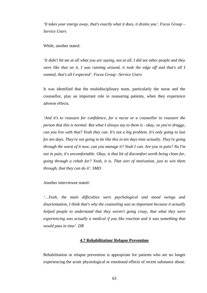*'It takes your energy away, that's exactly what it does, it drains you'. Focus Group – Service Users* 

While, another stated:

*'It didn't hit me at all what you are saying, not at all, I did see other people and they were like that on it, I was running around, it took the edge off and that's all I wanted, that's all I expected'. Focus Group –Service Users* 

It was identified that the multidisciplinary team, particularly the nurse and the counsellor, play an important role in reassuring patients, when they experience adverse effects.

*'And it's to reassure for confidence, for a nurse or a counsellor to reassure the person that this is normal. But what I always say to them is - okay, so you're draggy, can you live with that? Yeah they can. It's not a big problem. It's only going to last for ten days. They're not going to be like this in ten days time actually. They're going through the worst of it now, can you manage it? Yeah I can. Are you in pain? No I'm not in pain, it's uncomfortable. Okay, is that bit of discomfort worth being clean for, going through a rehab for? Yeah, it is. That sort of motivation, just to win them through, that they can do it'. SMD*

Another interviewee stated:

*'…Yeah, the main difficulties were psychological and mood swings and disorientation, I think that's why the counseling was so important because it actually helped people to understand that they weren't going crazy, that what they were experiencing was actually a medical if you like reaction and it was something that would pass in time'. DR* 

# **4.7 Rehabilitation/ Relapse Prevention**

Rehabilitation or relapse prevention is appropriate for patients who are no longer experiencing the acute physiological or emotional effects of recent substance abuse.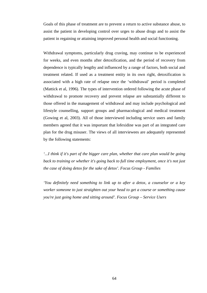Goals of this phase of treatment are to prevent a return to active substance abuse, to assist the patient in developing control over urges to abuse drugs and to assist the patient in regaining or attaining improved personal health and social functioning.

Withdrawal symptoms, particularly drug craving, may continue to be experienced for weeks, and even months after detoxification, and the period of recovery from dependence is typically lengthy and influenced by a range of factors, both social and treatment related. If used as a treatment entity in its own right, detoxification is associated with a high rate of relapse once the 'withdrawal' period is completed (Mattick et al, 1996). The types of intervention ordered following the acute phase of withdrawal to promote recovery and prevent relapse are substantially different to those offered in the management of withdrawal and may include psychological and lifestyle counselling, support groups and pharmacological and medical treatment (Gowing et al, 2003). All of those interviewed including service users and family members agreed that it was important that lofexidine was part of an integrated care plan for the drug misuser. The views of all interviewees are adequately represented by the following statements:

*'...I think if it's part of the bigger care plan, whether that care plan would be going back to training or whether it's going back to full time employment, once it's not just the case of doing detox for the sake of detox'. Focus Group - Families* 

*'You definitely need something to link up to after a detox, a counselor or a key worker someone to just straighten out your head to get a course or something cause you're just going home and sitting around'. Focus Group – Service Users*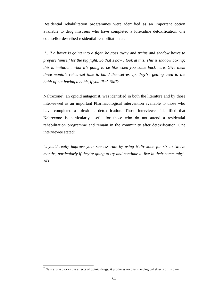Residential rehabilitation programmes were identified as an important option available to drug misusers who have completed a lofexidine detoxification, one counsellor described residential rehabilitation as:

 *'…if a boxer is going into a fight, he goes away and trains and shadow boxes to prepare himself for the big fight. So that's how I look at this. This is shadow boxing; this is imitation, what it's going to be like when you come back here. Give them three month's rehearsal time to build themselves up, they're getting used to the habit of not having a habit, if you like'. SMD* 

Naltrexone<sup>7</sup>, an opioid antagonist, was identified in both the literature and by those interviewed as an important Pharmacological intervention available to those who have completed a lofexidine detoxification. Those interviewed identified that Naltrexone is particularly useful for those who do not attend a residential rehabilitation programme and remain in the community after detoxification. One interviewee stated:

*'…you'd really improve your success rate by using Naltrexone for six to twelve months, particularly if they're going to try and continue to live in their community'. AD* 

 $\overline{a}$ 

<sup>&</sup>lt;sup>7</sup> Naltrexone blocks the effects of opioid drugs; it produces no pharmacological effects of its own.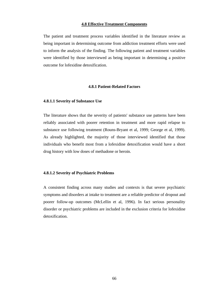### **4.8 Effective Treatment Components**

The patient and treatment process variables identified in the literature review as being important in determining outcome from addiction treatment efforts were used to inform the analysis of the finding. The following patient and treatment variables were identified by those interviewed as being important in determining a positive outcome for lofexidine detoxification.

### **4.8.1 Patient-Related Factors**

### **4.8.1.1 Severity of Substance Use**

The literature shows that the severity of patients' substance use patterns have been reliably associated with poorer retention in treatment and more rapid relapse to substance use following treatment (Rouns-Bryant et al, 1999; George et al, 1999). As already highlighted, the majority of those interviewed identified that those individuals who benefit most from a lofexidine detoxification would have a short drug history with low doses of methadone or heroin.

### **4.8.1.2 Severity of Psychiatric Problems**

A consistent finding across many studies and contexts is that severe psychiatric symptoms and disorders at intake to treatment are a reliable predictor of dropout and poorer follow-up outcomes (McLellin et al, 1996). In fact serious personality disorder or psychiatric problems are included in the exclusion criteria for lofexidine detoxification.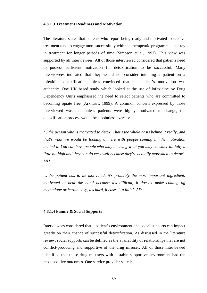### **4.8.1.3 Treatment Readiness and Motivation**

The literature states that patients who report being ready and motivated to receive treatment tend to engage more successfully with the therapeutic programme and stay in treatment for longer periods of time (Simpson et al, 1997). This view was supported by all interviewees. All of those interviewed considered that patients need to possess sufficient motivation for detoxification to be successful. Many interviewees indicated that they would not consider initiating a patient on a lofexidine detoxification unless convinced that the patient's motivation was authentic. One UK based study which looked at the use of lofexidine by Drug Dependency Units emphasised the need to select patients who are committed to becoming opiate free (Arkhusrt, 1999). A common concern expressed by those interviewed was that unless patients were highly motivated to change, the detoxification process would be a pointless exercise.

*'…the person who is motivated to detox. That's the whole basis behind it really, and that's what we would be looking at here with people coming in, the motivation behind it. You can have people who may be using what you may consider initially a little bit high and they can do very well because they're actually motivated to detox'. MH* 

*'…the patient has to be motivated, it's probably the most important ingredient, motivated to beat the band because it's difficult, it doesn't make coming off methadone or heroin easy, it's hard, it eases it a little'. AD* 

### **4.8.1.4 Family & Social Supports**

Interviewees considered that a patient's environment and social supports can impact greatly on their chance of successful detoxification. As discussed in the literature review, social supports can be defined as the availability of relationships that are not conflict-producing and supportive of the drug misuser. All of those interviewed identified that those drug misusers with a stable supportive environment had the most positive outcomes. One service provider stated: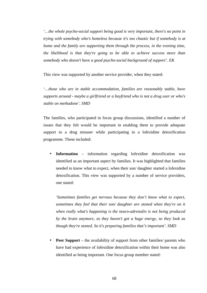*'…the whole psycho-social support being good is very important, there's no point in trying with somebody who's homeless because it's too chaotic but if somebody is at home and the family are supporting them through the process, in the evening time, the likelihood is that they're going to be able to achieve success more than somebody who doesn't have a good psycho-social background of support'. EK* 

This view was supported by another service provider, when they stated:

*'…those who are in stable accommodation, families are reasonably stable, have supports around - maybe a girlfriend or a boyfriend who is not a drug user or who's stable on methadone'. SMD* 

The families, who participated in focus group discussions, identified a number of issues that they felt would be important in enabling them to provide adequate support to a drug misuser while participating in a lofexidine detoxification programme. These included:

• **Information** – information regarding lofexidine detoxification was identified as an important aspect by families. It was highlighted that families needed to know what to expect, when their son/ daughter started a lofexidine detoxification. This view was supported by a number of service providers, one stated:

*'Sometimes families get nervous because they don't know what to expect, sometimes they feel that their son/ daughter are stoned when they're on it when really what's happening is the neuro-adrenalin is not being produced by the brain anymore, so they haven't got a huge energy, so they look as though they're stoned. So it's preparing families that's important'. SMD* 

• **Peer Support** – the availability of support from other families/ parents who have had experience of lofexidine detoxification within their home was also identified as being important. One focus group member stated: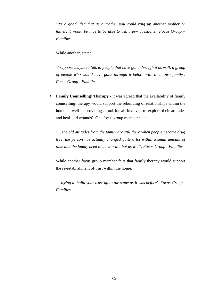*'It's a good idea that as a mother you could ring up another mother or father, it would be nice to be able to ask a few questions'. Focus Group – Families* 

While another, stated:

*'I suppose maybe to talk to people that have gone through it as well, a group of people who would have gone through it before with their own family'. Focus Group - Families* 

**Family Counselling/ Therapy -** it was agreed that the availability of family counselling/ therapy would support the rebuilding of relationships within the home as well as providing a tool for all involved to explore their attitudes and heal 'old wounds'. One focus group member stated:

*'… the old attitudes from the family are still there when people become drug free, the person has actually changed quite a lot within a small amount of time and the family need to move with that as well'. Focus Group - Families* 

While another focus group member felts that family therapy would support the re-establishment of trust within the home:

*'…trying to build your trust up to the same as it was before'. Focus Group - Families*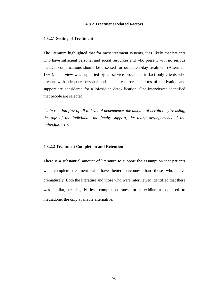### **4.8.2 Treatment Related Factors**

### **4.8.2.1 Setting of Treatment**

The literature highlighted that for most treatment systems, it is likely that patients who have sufficient personal and social resources and who present with no serious medical complications should be assessed for outpatient/day treatment (Alterman, 1994). This view was supported by all service providers, in fact only clients who present with adequate personal and social resources in terms of motivation and support are considered for a lofexidine detoxification. One interviewee identified that people are selected:

 *'…in relation first of all to level of dependence, the amount of heroin they're using, the age of the individual, the family support, the living arrangements of the individual'. EK* 

### **4.8.2.2 Treatment Completion and Retention**

There is a substantial amount of literature to support the assumption that patients who complete treatment will have better outcomes than those who leave prematurely. Both the literature and those who were interviewed identified that there was similar, or slightly less completion rates for lofexidine as opposed to methadone, the only available alternative.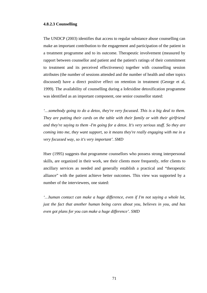### **4.8.2.3 Counselling**

The UNDCP (2003) identifies that access to regular substance abuse counselling can make an important contribution to the engagement and participation of the patient in a treatment programme and to its outcome. Therapeutic involvement (measured by rapport between counsellor and patient and the patient's ratings of their commitment to treatment and its perceived effectiveness) together with counselling session attributes (the number of sessions attended and the number of health and other topics discussed) have a direct positive effect on retention in treatment (George et al, 1999). The availability of counselling during a lofexidine detoxification programme was identified as an important component, one senior counsellor stated:

*'…somebody going to do a detox, they're very focussed. This is a big deal to them. They are putting their cards on the table with their family or with their girlfriend and they're saying to them -I'm going for a detox. It's very serious stuff. So they are coming into me, they want support, so it means they're really engaging with me in a very focussed way, so it's very important'. SMD* 

Hser (1995) suggests that programme counsellors who possess strong interpersonal skills, are organized in their work, see their clients more frequently, refer clients to ancillary services as needed and generally establish a practical and "therapeutic alliance" with the patient achieve better outcomes. This view was supported by a number of the interviewees, one stated:

*'…human contact can make a huge difference, even if I'm not saying a whole lot, just the fact that another human being cares about you, believes in you, and has even got plans for you can make a huge difference'. SMD*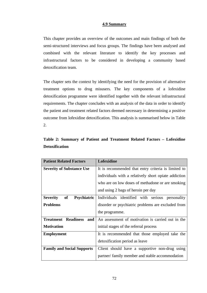# **4.9 Summary**

This chapter provides an overview of the outcomes and main findings of both the semi-structured interviews and focus groups. The findings have been analysed and combined with the relevant literature to identify the key processes and infrastructural factors to be considered in developing a community based detoxification team.

The chapter sets the context by identifying the need for the provision of alternative treatment options to drug misusers. The key components of a lofexidine detoxification programme were identified together with the relevant infrastructural requirements. The chapter concludes with an analysis of the data in order to identify the patient and treatment related factors deemed necessary in determining a positive outcome from lofexidine detoxification. This analysis is summarised below in Table 2.

| <b>Patient Related Factors</b>              | Lofexidine                                           |  |
|---------------------------------------------|------------------------------------------------------|--|
| <b>Severity of Substance Use</b>            | It is recommended that entry criteria is limited to  |  |
|                                             | individuals with a relatively short opiate addiction |  |
|                                             | who are on low doses of methadone or are smoking     |  |
|                                             | and using 2 bags of heroin per day                   |  |
| <b>Severity</b><br>of<br><b>Psychiatric</b> | Individuals identified with serious personality      |  |
| <b>Problems</b>                             | disorder or psychiatric problems are excluded from   |  |
|                                             | the programme.                                       |  |
| <b>Treatment Readiness and</b>              | An assessment of motivation is carried out in the    |  |
| <b>Motivation</b>                           | initial stages of the referral process               |  |
| <b>Employment</b>                           | It is recommended that those employed take the       |  |
|                                             | detoxification period as leave                       |  |
| <b>Family and Social Supports</b>           | Client should have a supportive non-drug using       |  |
|                                             | partner/family member and stable accommodation       |  |

# **Table 2: Summary of Patient and Treatment Related Factors – Lofexidine Detoxification**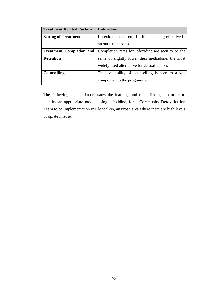| <b>Treatment Related Factors</b> | Lofexidine                                           |  |  |  |  |  |  |
|----------------------------------|------------------------------------------------------|--|--|--|--|--|--|
| <b>Setting of Treatment</b>      | Lofexidine has been identified as being effective in |  |  |  |  |  |  |
|                                  | an outpatient basis.                                 |  |  |  |  |  |  |
| <b>Treatment Completion and</b>  | Completion rates for lofexidine are seen to be the   |  |  |  |  |  |  |
| <b>Retention</b>                 | same or slightly lower then methadone, the most      |  |  |  |  |  |  |
|                                  | widely used alternative for detoxification.          |  |  |  |  |  |  |
| <b>Counselling</b>               | The availability of counselling is seen as a key     |  |  |  |  |  |  |
|                                  | component to the programme                           |  |  |  |  |  |  |

The following chapter incorporates the learning and main findings in order to identify an appropriate model, using lofexidine, for a Community Detoxification Team to be implementation in Clondalkin, an urban area where there are high levels of opiate misuse.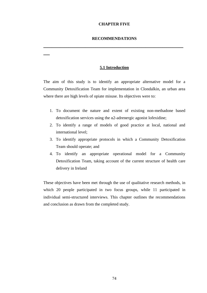## **CHAPTER FIVE**

## **RECOMMENDATIONS**

\_\_\_\_\_\_\_\_\_\_\_\_\_\_\_\_\_\_\_\_\_\_\_\_\_\_\_\_\_\_\_\_\_\_\_\_\_\_\_\_\_\_\_\_\_\_\_\_\_\_\_\_\_\_\_\_\_\_\_\_\_\_\_\_\_\_\_

 $\overline{\phantom{a}}$ 

## **5.1 Introduction**

The aim of this study is to identify an appropriate alternative model for a Community Detoxification Team for implementation in Clondalkin, an urban area where there are high levels of opiate misuse. Its objectives were to:

- 1. To document the nature and extent of existing non-methadone based detoxification services using the  $\alpha$ 2-adrenergic agonist lofexidine;
- 2. To identify a range of models of good practice at local, national and international level;
- 3. To identify appropriate protocols in which a Community Detoxification Team should operate; and
- 4. To identify an appropriate operational model for a Community Detoxification Team, taking account of the current structure of health care delivery in Ireland

These objectives have been met through the use of qualitative research methods, in which 20 people participated in two focus groups, while 11 participated in individual semi-structured interviews. This chapter outlines the recommendations and conclusion as drawn from the completed study.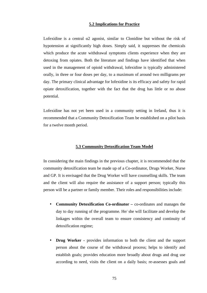### **5.2 Implications for Practice**

Lofexidine is a central  $\alpha$ 2 agonist, similar to Clonidine but without the risk of hypotension at significantly high doses. Simply said, it suppresses the chemicals which produce the acute withdrawal symptoms clients experience when they are detoxing from opiates. Both the literature and findings have identified that when used in the management of opioid withdrawal, lofexidine is typically administered orally, in three or four doses per day, to a maximum of around two milligrams per day. The primary clinical advantage for lofexidine is its efficacy and safety for rapid opiate detoxification, together with the fact that the drug has little or no abuse potential.

Lofexidine has not yet been used in a community setting in Ireland, thus it is recommended that a Community Detoxification Team be established on a pilot basis for a twelve month period.

### **5.3 Community Detoxification Team Model**

In considering the main findings in the previous chapter, it is recommended that the community detoxification team be made up of a Co-ordinator, Drugs Worker, Nurse and GP. It is envisaged that the Drug Worker will have counselling skills. The team and the client will also require the assistance of a support person; typically this person will be a partner or family member. Their roles and responsibilities include:

- **Community Detoxification Co-ordinator** co-ordinates and manages the day to day running of the programme. He/ she will facilitate and develop the linkages within the overall team to ensure consistency and continuity of detoxification regime;
- **Drug Worker** provides information to both the client and the support person about the course of the withdrawal process; helps to identify and establish goals; provides education more broadly about drugs and drug use according to need, visits the client on a daily basis; re-assesses goals and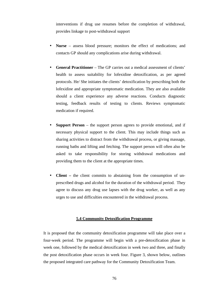interventions if drug use resumes before the completion of withdrawal, provides linkage to post-withdrawal support

- **Nurse**  assess blood pressure; monitors the effect of medications; and contacts GP should any complications arise during withdrawal.
- **General Practitioner** The GP carries out a medical assessment of clients' health to assess suitability for lofexidine detoxification, as per agreed protocols. He/ She initiates the clients' detoxification by prescribing both the lofexidine and appropriate symptomatic medication. They are also available should a client experience any adverse reactions. Conducts diagnostic testing, feedback results of testing to clients. Reviews symptomatic medication if required.
- **Support Person** the support person agrees to provide emotional, and if necessary physical support to the client. This may include things such as sharing activities to distract from the withdrawal process, or giving massage, running baths and lifting and fetching. The support person will often also be asked to take responsibility for storing withdrawal medications and providing them to the client at the appropriate times.
- **Client** the client commits to abstaining from the consumption of unprescribed drugs and alcohol for the duration of the withdrawal period. They agree to discuss any drug use lapses with the drug worker, as well as any urges to use and difficulties encountered in the withdrawal process.

## **5.4 Community Detoxification Programme**

It is proposed that the community detoxification programme will take place over a four-week period. The programme will begin with a pre-detoxification phase in week one, followed by the medical detoxification in week two and three, and finally the post detoxification phase occurs in week four. Figure 3, shown below, outlines the proposed integrated care pathway for the Community Detoxification Team.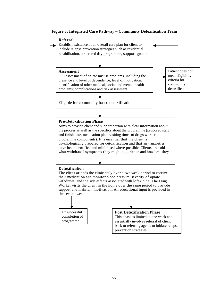# **Figure 3: Integrated Care Pathway – Community Detoxification Team**

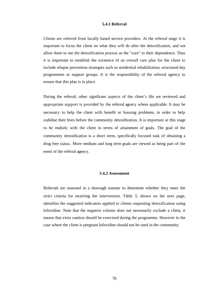### **5.4.1 Referral**

Clients are referred from locally based service providers. At the referral stage it is important to focus the client on what they will do after the detoxification, and not allow them to see the detoxification process as the "cure" to their dependence. Thus it is important to establish the existence of an overall care plan for the client to include relapse prevention strategies such as residential rehabilitation, structured day programmes or support groups. It is the responsibility of the referral agency to ensure that this plan is in place.

During the referral, other significant aspects of the client's life are reviewed and appropriate support is provided by the referral agency where applicable. It may be necessary to help the client with benefit or housing problems, in order to help stabilise their lives before the community detoxification. It is important at this stage to be realistic with the client in terms of attainment of goals. The goal of the community detoxification is a short term, specifically focused task of obtaining a drug free status. More medium and long term goals are viewed as being part of the remit of the referral agency.

### **5.4.2 Assessment**

Referrals are assessed in a thorough manner to determine whether they meet the strict criteria for receiving the intervention. Table 3, shown on the next page, identifies the suggested indicators applied to clients requesting detoxification using lofexidine. Note that the negative column does not necessarily exclude a client, it means that extra caution should be exercised during the programme. However in the case where the client is pregnant lofexidine should not be used in the community.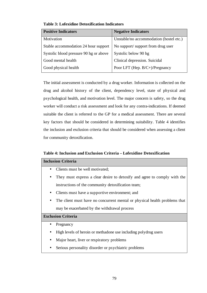| <b>Positive Indicators</b>             | <b>Negative Indicators</b>              |
|----------------------------------------|-----------------------------------------|
| Motivation                             | Unstable/no accommodation (hostel etc.) |
| Stable accommodation 24 hour support   | No support/support from drug user       |
| Systolic blood pressure 90 hg or above | Systolic below 90 hg                    |
| Good mental health                     | Clinical depression. Suicidal           |
| Good physical health                   | Poor LFT (Hep. B/C+)/Pregnancy          |

**Table 3: Lofexidine Detoxification Indicators** 

The initial assessment is conducted by a drug worker. Information is collected on the drug and alcohol history of the client, dependency level, state of physical and psychological health, and motivation level. The major concern is safety, so the drug worker will conduct a risk assessment and look for any contra-indications. If deemed suitable the client is referred to the GP for a medical assessment. There are several key factors that should be considered in determining suitability. Table 4 identifies the inclusion and exclusion criteria that should be considered when assessing a client for community detoxification.

## **Table 4: Inclusion and Exclusion Criteria – Lofexidine Detoxification**

|   | <b>Inclusion Criteria</b>                                                  |
|---|----------------------------------------------------------------------------|
| ٠ | Clients must be well motivated;                                            |
| ٠ | They must express a clear desire to detoxify and agree to comply with the  |
|   | instructions of the community detoxification team;                         |
| ٠ | Clients must have a supportive environment; and                            |
|   | The client must have no concurrent mental or physical health problems that |
|   | may be exacerbated by the withdrawal process                               |
|   | <b>Exclusion Criteria</b>                                                  |
| ٠ | Pregnancy                                                                  |
|   | High levels of heroin or methadone use including polydrug users            |
|   | Major heart, liver or respiratory problems                                 |
|   | Serious personality disorder or psychiatric problems                       |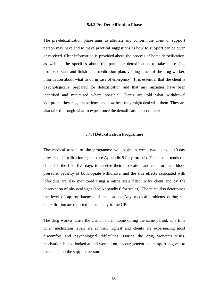### **5.4.3 Pre-Detoxification Phase**

The pre-detoxification phase aims to alleviate any concern the client or support person may have and to make practical suggestions as how to support can be given or received. Clear information is provided about the process of home detoxification, as well as the specifics about the particular detoxification to take place (e.g. proposed start and finish date, medication plan, visiting times of the drug worker, information about what to do in case of emergency). It is essential that the client is psychologically prepared for detoxification and that any anxieties have been identified and minimised where possible. Clients are told what withdrawal symptoms they might experience and how best they might deal with them. They are also talked through what to expect once the detoxification is complete.

### **5.4.4 Detoxification Programme**

The medical aspect of the programme will begin in week two using a 10-day lofexidine detoxification regime (see Appendix 5 for protocol). The client attends the clinic for the first five days to receive their medication and monitor their blood pressure. Severity of both opiate withdrawal and the side effects associated with lofexidine are also monitored using a rating scale filled in by client and by the observation of physical signs (see Appendix 6 for scales). The nurse also determines the level of appropriateness of medication. Any medical problems during the detoxification are reported immediately to the GP.

The drug worker visits the client in their home during the same period, at a time when medication levels are at their highest and clients are experiencing most discomfort and psychological difficulties. During the drug worker's visits, motivation is also looked at and worked on, encouragement and support is given to the client and the support person.

**80**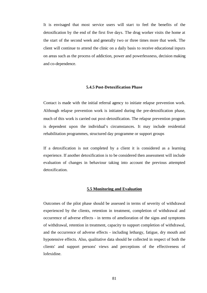It is envisaged that most service users will start to feel the benefits of the detoxification by the end of the first five days. The drug worker visits the home at the start of the second week and generally two or three times more that week. The client will continue to attend the clinic on a daily basis to receive educational inputs on areas such as the process of addiction, power and powerlessness, decision making and co-dependence.

### **5.4.5 Post-Detoxification Phase**

Contact is made with the initial referral agency to initiate relapse prevention work. Although relapse prevention work is initiated during the pre-detoxification phase, much of this work is carried out post-detoxification. The relapse prevention program is dependent upon the individual's circumstances. It may include residential rehabilitation programmes, structured day programme or support groups

If a detoxification is not completed by a client it is considered as a learning experience. If another detoxification is to be considered then assessment will include evaluation of changes in behaviour taking into account the previous attempted detoxification.

## **5.5 Monitoring and Evaluation**

Outcomes of the pilot phase should be assessed in terms of severity of withdrawal experienced by the clients, retention in treatment, completion of withdrawal and occurrence of adverse effects - in terms of amelioration of the signs and symptoms of withdrawal, retention in treatment, capacity to support completion of withdrawal, and the occurrence of adverse effects - including lethargy, fatigue, dry mouth and hypotensive effects. Also, qualitative data should be collected in respect of both the clients' and support persons' views and perceptions of the effectiveness of lofexidine.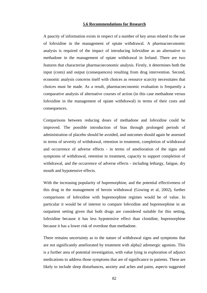### **5.6 Recommendations for Research**

A paucity of information exists in respect of a number of key areas related to the use of lofexidine in the management of opiate withdrawal. A pharmacoeconomic analysis is required of the impact of introducing lofexidine as an alternative to methadone in the management of opiate withdrawal in Ireland. There are two features that characterise pharmacoeconomic analysis. Firstly, it determines both the input (costs) and output (consequences) resulting from drug intervention. Second, economic analysis concerns itself with choices as resource scarcity necessitates that choices must be made. As a result, pharmacoeconomic evaluation is frequently a comparative analysis of alternative courses of action (in this case methadone versus lofexidine in the management of opiate withdrawal) in terms of their costs and consequences.

Comparisons between reducing doses of methadone and lofexidine could be improved. The possible introduction of bias through prolonged periods of administration of placebo should be avoided, and outcomes should again be assessed in terms of severity of withdrawal, retention in treatment, completion of withdrawal and occurrence of adverse effects - in terms of amelioration of the signs and symptoms of withdrawal, retention in treatment, capacity to support completion of withdrawal, and the occurrence of adverse effects - including lethargy, fatigue, dry mouth and hypotensive effects.

With the increasing popularity of buprenorphine, and the potential effectiveness of this drug in the management of heroin withdrawal (Gowing et al, 2002), further comparisons of lofexidine with buprenorphine regimes would be of value. In particular it would be of interest to compare lofexidine and buprenorphine in an outpatient setting given that both drugs are considered suitable for this setting, lofexidine because it has less hypotensive effect than clonidine, buprenorphine because it has a lower risk of overdose than methadone.

There remains uncertainty as to the nature of withdrawal signs and symptoms that are not significantly ameliorated by treatment with alpha2 adrenergic agonists. This is a further area of potential investigation, with value lying in exploration of adjunct medications to address those symptoms that are of significance to patients. These are likely to include sleep disturbances, anxiety and aches and pains, aspects suggested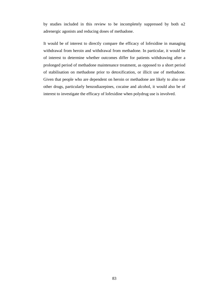by studies included in this review to be incompletely suppressed by both  $\alpha$ 2 adrenergic agonists and reducing doses of methadone.

It would be of interest to directly compare the efficacy of lofexidine in managing withdrawal from heroin and withdrawal from methadone. In particular, it would be of interest to determine whether outcomes differ for patients withdrawing after a prolonged period of methadone maintenance treatment, as opposed to a short period of stabilisation on methadone prior to detoxification, or illicit use of methadone. Given that people who are dependent on heroin or methadone are likely to also use other drugs, particularly benzodiazepines, cocaine and alcohol, it would also be of interest to investigate the efficacy of lofexidine when polydrug use is involved.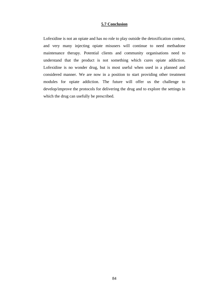### **5.7 Conclusion**

Lofexidine is not an opiate and has no role to play outside the detoxification context, and very many injecting opiate misusers will continue to need methadone maintenance therapy. Potential clients and community organisations need to understand that the product is not something which cures opiate addiction. Lofexidine is no wonder drug, but is most useful when used in a planned and considered manner. We are now in a position to start providing other treatment modules for opiate addiction. The future will offer us the challenge to develop/improve the protocols for delivering the drug and to explore the settings in which the drug can usefully be prescribed.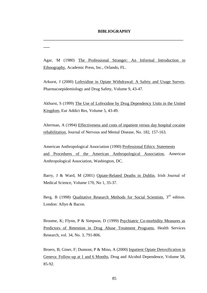**\_\_\_\_\_\_\_\_\_\_\_\_\_\_\_\_\_\_\_\_\_\_\_\_\_\_\_\_\_\_\_\_\_\_\_\_\_\_\_\_\_\_\_\_\_\_\_\_\_\_\_\_\_\_\_\_\_\_\_\_\_\_\_\_\_\_\_**

**\_\_\_** 

Agar, M (1980) The Professional Stranger: An Informal Introduction to Ethnography, Academic Press, Inc., Orlando, FL.

Arkurst, J (2000) Lofexidine in Opiate Withdrawal: A Safety and Usage Survey, Pharmacoepidemiology and Drug Safety, Volume 9, 43-47.

Akhurst, S (1999) The Use of Lofexidine by Drug Dependency Units in the United Kingdom, Eur Addict Res, Volume 5, 43-49.

Alterman, A (1994) Effectiveness and costs of inpatient versus day hospital cocaine rehabilitation, Journal of Nervous and Mental Disease, No. 182, 157-163.

American Anthropological Association (1990) Professional Ethics: Statements and Procedures of the American Anthropological Association, American Anthropological Association, Washington, DC.

Barry, J & Ward, M (2001) Opiate-Related Deaths in Dublin, Irish Journal of Medical Science, Volume 170, No 1, 35-37.

Berg, B (1998) Qualitative Research Methods for Social Scientists.  $3<sup>rd</sup>$  edition. London: Allyn & Bacon.

Broome, K; Flynn, P & Simpson, D (1999) Psychiatric Co-morbidity Measures as Predictors of Retention in Drug Abuse Treatment Programs, Health Services Research, vol. 34, No. 3, 791-806.

Broers, B; Giner, F; Dumont, P & Mino, A (2000) Inpatient Opiate Detoxification in Geneva: Follow-up at 1 and 6 Months, Drug and Alcohol Dependence, Volume 58, 85-92.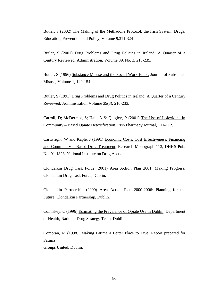Butler, S (2002) The Making of the Methadone Protocol: the Irish System, Drugs, Education, Prevention and Policy, Volume 9,311-324

Butler, S (2001) Drug Problems and Drug Policies in Ireland: A Quarter of a Century Reviewed, Administration, Volume 39, No. 3, 210-235.

Butler, S (1996) Substance Misuse and the Social Work Ethos, Journal of Substance Misuse, Volume 1, 149-154.

Butler, S (1991) Drug Problems and Drug Politics in Ireland: A Quarter of a Century Reviewed, Administration Volume 39(3), 210-233.

Carroll, D; McDermot, S; Hall, A & Quigley, P (2001) The Use of Lofexidine in Community – Based Opiate Detoxification, Irish Pharmacy Journal, 111-112.

Cartwright, W and Kaple, J (1991) Economic Costs, Cost Effectiveness, Financing and Community – Based Drug Treatment, Research Monograph 113, DHHS Pub. No. 91-1823, National Institute on Drug Abuse.

Clondalkin Drug Task Force (2001) Area Action Plan 2001: Making Progress, Clondalkin Drug Task Force, Dublin.

Clondalkin Partnership (2000) Area Action Plan 2000-2006: Planning for the Future, Clondalkin Partnership, Dublin.

Comiskey, C (1996) Estimating the Prevalence of Opiate Use in Dublin, Department of Health, National Drug Strategy Team, Dublin

Corcoran, M (1998). Making Fatima a Better Place to Live, Report prepared for Fatima

Groups United, Dublin.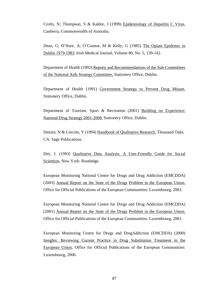Crofts, N; Thompson, S & Kaldor, J (1999) Epidemiology of Hepatitis C Virus, Canberra, Commonwealth of Australia.

Dean, G; O'Hare, A; O'Connor, M & Kelly, G (1985) The Opiate Epidemic in Dublin 1979-1983, Irish Medical Journal, Volume 80, No. 5, 139-142.

Department of Health (1992) Reports and Recommendations of the Sub-Committees of the National Aids Strategy Committee, Stationery Office, Dublin.

Department of Health (1991) Government Strategy to Prevent Drug Misuse. Stationery Office, Dublin.

Department of Tourism, Sport & Recreation (2001) Building on Experience: National Drug Strategy 2001-2008, Stationery Office, Dublin.

Denzin, N & Lincoln, Y (1994) Handbook of Qualitative Research, Thousand Oaks, CA: Sage Publications.

Dey, I. (1993) Qualitative Data Analysis: A User-Friendly Guide for Social Scientists. New York: Routledge.

European Monitoring National Centre for Drugs and Drug Addiction (EMCDDA) (2003) Annual Report on the State of the Drugs Problem in the European Union. Office for Official Publications of the European Communities: Luxembourg, 2003.

European Monitoring National Centre for Drugs and Drug Addiction (EMCDDA) (2001) Annual Report on the State of the Drugs Problem in the European Union. Office for Official Publications of the European Communities: Luxembourg, 2001.

European Monitoring Centre for Drugs and DrugAddiction (EMCDDA) (2000) Insights: Reviewing Current Practice in Drug Substitution Treatment in the European Union, Office for Official Publications of the European Communities: Luxembourg, 2000.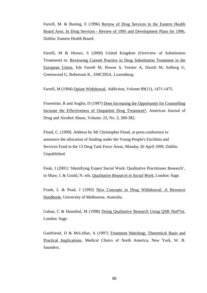Farrell, M. & Buning, E (1996) Review of Drug Services in the Eastern Health Board Area. In Drug Services - Review of 1995 and Development Plans for 1996, Dublin: Eastern Health Board.

Farrell, M & Howes, S (2000) United Kingdom (Overview of Substitution Treatment) in: Reviewing Current Practice in Drug Substitution Treatment in the European Union, Eds Farrell M, Howes S, Verster A, Daveli M, Solberg U, Greenwood G, Robertson K., EMCDDA, Luxemburg.

Farrell, M (1994) Opiate Withdrawal, Addiction, Volume 89(11), 1471-1475.

Fiorentine, R and Anglin, D (1997) Does Increasing the Opportunity for Counselling Increase the Effectiveness of Outpatient Drug Treatment?, American Journal of Drug and Alcohol Abuse, Volume. 23, No. 3, 369-382.

Flood, C. (1999). Address by Mr Christopher Flood, at press conference to announce the allocation of funding under the Young People's Facilities and Services Fund in the 13 Drug Task Force Areas, Monday 26 April 1999, Dublin. Unpublished.

Fook, J (2001) 'Identifying Expert Social Work: Qualitative Practitioner Research', in Shaw, I. & Gould, N. eds. *Qualitative Research in Social Work*, London: Sage.

Frank, L & Pead, J (1995) New Concepts in Drug Withdrawal: A Resource Handbook, University of Melbourne, Australia.

Gahan, C & Hannibal, M (1998) Doing Qualitative Research Using QSR Nud\*ist, London: Sage.

Gastfriend, D & McLellan, A (1997) Treatment Matching: Theoretical Basis and Practical Implications, Medical Clinics of North America, New York, W. B. Saunders.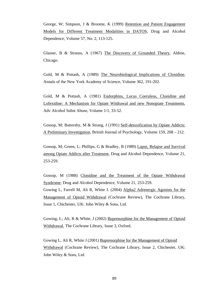George, W; Simpson, J & Broome, K (1999) Retention and Patient Engagement Models for Different Treatment Modalities in DATOS, Drug and Alcohol Dependence, Volume 57, No. 2, 113-125.

Glasser, B & Strauss, A (1967) The Discovery of Grounded Theory, Aldine, Chicago.

Gold, M & Pottash, A (1989) The Neurobiological Implications of Clonidine, Annals of the New York Academy of Science, Volume 362, 191-202.

Gold, M & Pottash, A (1981) Endorphins, Locus Coeruleus, Clonidine and Lofexidine: A Mechanism for Opiate Witdrawal and new Nonopiate Treatments, Adv Alcohol Subst Abuse, Volume 1/1, 33-52.

Gossop, M; Battersby, M & Strang, J (1991) Self-detoxification by Opiate Addicts: A Preliminary Investigation, British Journal of Psychology, Volume 159, 208 – 212.

Gossop, M; Green, L; Phillips, G & Bradley, B (1989) Lapse, Relapse and Survival among Opiate Addicts after Treatment, Drug and Alcohol Dependence, Volume 21, 253-259.

Gossop, M (1988) Clonidine and the Treatment of the Opiate Withdrawal Syndrome, Drug and Alcohol Dependence, Volume 21, 253-259. Gowing L, Farrell M, Ali R, White J. (2004) Alpha2 Adrenergic Agonists for the Management of Opioid Withdrawal (Cochrane Review), The Cochrane Library, Issue 1, Chichester, UK: John Wiley & Sons, Ltd.

Gowing, L; Ali, R & White, J (2002) Buprenorphine for the Management of Opioid Withdrawal, The Cochrane Library, Issue 3, Oxford.

Gowing L, Ali R, White J (2001) Buprenorphine for the Management of Opioid Withdrawal (Cochrane Review), The Cochrane Library, Issue 2, Chichester, UK: John Wiley & Sons, Ltd.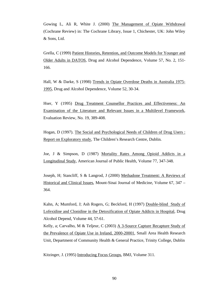Gowing L, Ali R, White J. (2000) The Management of Opiate Withdrawal (Cochrane Review) in: The Cochrane Library, Issue 1, Chichester, UK: John Wiley & Sons, Ltd.

Grella, C (1999) Patient Histories, Retention, and Outcome Models for Younger and Older Adults in DATOS, Drug and Alcohol Dependence, Volume 57, No. 2, 151- 166.

Hall, W & Darke, S (1998) Trends in Opiate Overdose Deaths in Australia 1975- 1995, Drug and Alcohol Dependence, Volume 52, 30-34.

Hser, Y (1995) Drug Treatment Counsellor Practices and Effectiveness: An Examination of the Literature and Relevant Issues in a Multilevel Framework, Evaluation Review, No. 19, 389-408.

Hogan, D (1997). The Social and Psychological Needs of Children of Drug Users : Report on Exploratory study, The Children's Research Centre, Dublin.

Joe, J & Simpson, D (1987) Mortality Rates Among Opioid Addicts in a Longitudinal Study, American Journal of Public Health, Volume 77, 347-348.

Joseph, H; Stancliff, S & Langrod, J (2000) Methadone Treatment: A Reviews of Historical and Clinical Issues, Mount-Sinai Journal of Medicine, Volume 67, 347 – 364.

Kahn, A; Mumford, J; Ash Rogers, G; Beckford, H (1997) Double-blind Study of Lofexidine and Clonidine in the Detoxification of Opiate Addicts in Hospital, Drug Alcohol Depend, Volume 44, 57-61.

Kelly, a; Carvalho, M & Teljeur, C (2003) A 3-Source Capture Recapture Study of the Prevalence of Opiate Use in Ireland, 2000-20001, Small Area Health Research Unit, Department of Community Health & General Practice, Trinity College, Dublin

Kitzinger, J. (1995) Introducing Focus Groups, BMJ, Volume 311.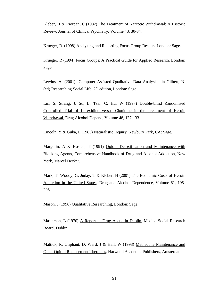Kleber, H & Riordan, C (1982) The Treatment of Narcotic Withdrawal: A Historic Review, Journal of Clinical Psychiatry, Volume 43, 30-34.

Krueger, R. (1998) Analyzing and Reporting Focus Group Results. London: Sage.

Krueger, R (1994) Focus Groups: A Practical Guide for Applied Research. London: Sage.

Lewins, A. (2001) 'Computer Assisted Qualitative Data Analysis', in Gilbert, N. (ed) Researching Social Life.  $2<sup>nd</sup>$  edition, London: Sage.

Lin, S; Strang, J; Su, L; Tsai, C; Hu, W (1997) Double-blind Randomised Controlled Trial of Lofexidine versus Clonidine in the Treatment of Heroin Withdrawal, Drug Alcohol Depend, Volume 48, 127-133.

Lincoln, Y & Guba, E (1985) Naturalistic Inquiry, Newbury Park, CA: Sage.

Margolin, A & Kosten, T (1991) Opioid Detoxification and Maintenance with Blocking Agents, Comprehensive Handbook of Drug and Alcohol Addiction, New York, Marcel Decker.

Mark, T; Woody, G; Juday, T & Kleber, H (2001) The Economic Costs of Heroin Addiction in the United States, Drug and Alcohol Dependence, Volume 61, 195- 206.

Mason, J (1996) Qualitative Researching, London: Sage.

Masterson, L (1970) A Report of Drug Abuse in Dublin, Medico Social Research Board, Dublin.

Mattick, R; Oliphant, D; Ward, J & Hall, W (1998) Methadone Maintenance and Other Opioid Replacement Therapies, Harwood Academic Publishers, Amsterdam.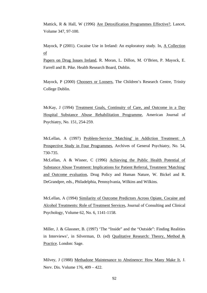Mattick, R & Hall, W (1996) Are Detoxification Programmes Effective?, Lancet, Volume 347, 97-100.

Mayock, P (2001). Cocaine Use in Ireland: An exploratory study. In, A Collection of

Papers on Drug Issues Ireland, R. Moran, L. Dillon, M. O'Brien, P. Mayock, E. Farrell and B. Pike. Health Research Board, Dublin.

Mayock, P (2000) Choosers or Loosers, The Children's Research Centre, Trinity College Dublin.

McKay, J (1994) Treatment Goals, Continuity of Care, and Outcome in a Day Hospital Substance Abuse Rehabilitation Programme, American Journal of Psychiatry, No. 151, 254-259.

McLellan, A (1997) Problem-Service 'Matching' in Addiction Treatment: A Prospective Study in Four Programmes, Archives of General Psychiatry, No. 54, 730-735.

McLellan, A & Wisner, C (1996) Achieving the Public Health Potential of Substance Abuse Treatment: Implications for Patient Referral, Treatment 'Matching' and Outcome evaluation, Drug Policy and Human Nature, W. Bickel and R. DeGrandpre, eds., Philadelphia, Pennsylvania, Wilkins and Wilkins.

McLellan, A (1994) Similarity of Outcome Predictors Across Opiate, Cocaine and Alcohol Treatments: Role of Treatment Services, Journal of Consulting and Clinical Psychology, Volume 62, No. 6, 1141-1158.

Miller, J. & Glassner, B. (1997) 'The "Inside" and the "Outside": Finding Realities in Interviews', in Silverman, D. (ed) Qualitative Research: Theory, Method & Practice. London: Sage.

Milvey, J (1988) Methadone Maintenance to Abstinence: How Many Make It, J. Nerv. Dis. Volume 176, 409 – 422.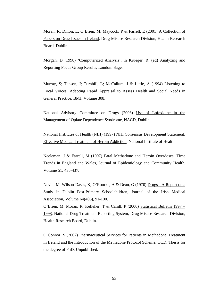Moran, R; Dillon, L; O'Brien, M; Maycock, P & Farrell, E (2001) A Collection of Papers on Drug Issues in Ireland, Drug Misuse Research Division, Health Research Board, Dublin.

Morgan, D (1998) 'Computerized Analysis', in Krueger, R. (ed) Analyzing and Reporting Focus Group Results, London: Sage.

Murray, S; Tapson, J; Turnbill, L; McCallum, J & Little, A (1994) Listening to Local Voices: Adapting Rapid Appraisal to Assess Health and Social Needs in General Practice, BMJ, Volume 308.

National Advisory Committee on Drugs (2003) Use of Lofexidine in the Management of Opiate Dependence Syndrome, NACD, Dublin.

National Institutes of Health (NIH) (1997) NIH Consensus Development Statement: Effective Medical Treatment of Heroin Addiction, National Institute of Health

Neeleman, J & Farrell, M (1997) Fatal Methadone and Heroin Overdoses: Time Trends in England and Wales, Journal of Epidemiology and Community Health, Volume 51, 435-437.

Nevin, M; Wilson-Davis, K; O'Rourke, A & Dean, G (1970) Drugs - A Report on a Study in Dublin Post-Primary Schoolchildren, Journal of the Irish Medical Association, Volume 64(406), 91-100.

O'Brien, M; Moran, R; Kelleher, T & Cahill, P (2000) Statistical Bulletin 1997 – 1998, National Drug Treatment Reporting System, Drug Misuse Research Division, Health Research Board, Dublin.

O'Connor, S (2002) Pharmaceutical Services for Patients in Methadone Treatment in Ireland and the Introduction of the Methadone Protocol Scheme, UCD, Thesis for the degree of PhD, Unpublished.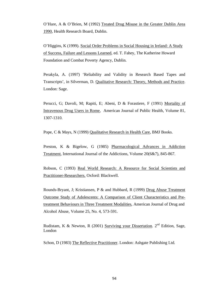O'Hare, A & O'Brien, M (1992) Treated Drug Misuse in the Greater Dublin Area 1990, Health Research Board, Dublin.

O'Higgins, K (1999). Social Order Problems in Social Housing in Ireland: A Study of Success, Failure and Lessons Learned, ed. T. Fahey, The Katherine Howard Foundation and Combat Poverty Agency, Dublin.

Perakyla, A. (1997) 'Reliability and Validity in Research Based Tapes and Transcripts', in Silverman, D. Qualitative Research: Theory, Methods and Practice. London: Sage.

Perucci, G; Davoli, M; Rapiti, E; Abeni, D & Forastiere, F (1991) Mortality of Intravenous Drug Users in Rome, American Journal of Public Health, Volume 81, 1307-1310.

Pope, C & Mays, N (1999) Qualitative Research in Health Care, BMJ Books.

Preston, K & Bigelow, G (1985) Pharmacological Advances in Addiction Treatment, International Journal of the Addictions, Volume 20(6&7), 845-867.

Robson, C (1993) Real World Research: A Resource for Social Scientists and Practitioner-Researchers. Oxford: Blackwell.

Rounds-Bryant, J; Kristiansen, P & and Hubbard, R (1999) Drug Abuse Treatment Outcome Study of Adolescents: A Comparison of Client Characteristics and Pretreatment Behaviours in Three Treatment Modalities, American Journal of Drug and Alcohol Abuse, Volume 25, No. 4, 573-591.

Rudistam, K & Newton, R (2001) Surviving your Dissertation.  $2<sup>nd</sup>$  Edition, Sage, London

Schon, D (1983) The Reflective Practitioner. London: Ashgate Publishing Ltd.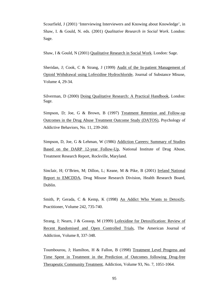Scourfield, J (2001) 'Interviewing Interviewers and Knowing about Knowledge', in Shaw, I. & Gould, N. eds. (2001) *Qualitative Research in Social Work*. London: Sage.

Shaw, I & Gould, N (2001) Qualitative Research in Social Work. London: Sage.

Sheridan, J; Cook, C & Strang, J (1999) Audit of the In-patient Management of Opioid Withdrawal using Lofexidine Hydrochloride, Journal of Substance Misuse, Volume 4, 29-34.

Silverman, D (2000) Doing Qualitative Research: A Practical Handbook, London: Sage.

Simpson, D; Joe, G & Brown, B (1997) Treatment Retention and Follow-up Outcomes in the Drug Abuse Treatment Outcome Study (DATOS), Psychology of Addictive Behaviors, No. 11, 239-260.

Simpson, D, Joe, G & Lehman, W (1986) Addiction Careers: Summary of Studies Based on the DARP 12-year Follow-Up, National Institute of Drug Abuse, Treatment Research Report, Rockville, Maryland.

Sinclair, H; O'Brien, M; Dillon, L; Keane, M & Pike, B (2001) Ireland National Report to EMCDDA, Drug Misuse Research Division, Health Research Board, Dublin.

Smith, P; Gerada, C & Kemp, K (1998) An Addict Who Wants to Detoxify, Practitioner, Volume 242, 735-740.

Strang, J; Nearn, J & Gossop, M (1999) Lofexidine for Detoxification: Review of Recent Randomised and Open Controlled Trials, The American Journal of Addiction, Volume 8, 337-348.

Toumbourou, J; Hamilton, H & Fallon, B (1998) Treatment Level Progress and Time Spent in Treatment in the Prediction of Outcomes following Drug-free Therapeutic Community Treatment, Addiction, Volume 93, No. 7, 1051-1064.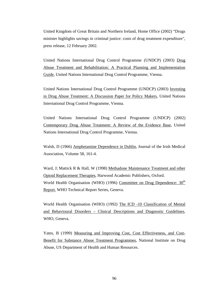United Kingdom of Great Britain and Northern Ireland, Home Office (2002) "Drugs minister highlights savings in criminal justice: costs of drug treatment expenditure", press release, 12 February 2002.

United Nations International Drug Control Programme (UNDCP) (2003) Drug Abuse Treatment and Rehabilitation: A Practical Planning and Implementation Guide, United Nations International Drug Control Programme, Vienna.

United Nations International Drug Control Programme (UNDCP) (2003) Investing in Drug Abuse Treatment: A Discussion Paper for Policy Makers, United Nations International Drug Control Programme, Vienna.

United Nations International Drug Control Programme (UNDCP) (2002) Contemporary Drug Abuse Treatment: A Review of the Evidence Base, United Nations International Drug Control Programme, Vienna.

Walsh, D (1966) Amphetamine Dependence in Dublin, Journal of the Irish Medical Association, Volume 58, 161-4.

Ward, J; Mattick R & Hall, W (1998) Methadone Maintenance Treatment and other Opioid Replacement Therapies, Harwood Academic Publishers, Oxford. World Health Organisation (WHO) (1996) Committee on Drug Dependence:  $30<sup>th</sup>$ Report, WHO Technical Report Series, Geneva.

World Health Organisation (WHO) (1992) The ICD -10 Classification of Mental and Behavioural Disorders – Clinical Descriptions and Diagnostic Guidelines, WHO, Geneva.

Yates, B (1999) Measuring and Improving Cost, Cost Effectiveness, and Cost-Benefit for Substance Abuse Treatment Programmes, National Institute on Drug Abuse, US Department of Health and Human Resources.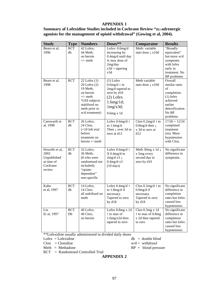## **APPENDIX 1**

# **Summary of Lofexidine Studies included in Cochrane Review "2-adrenergic agonists for the management of opioid withdrawal" (Gowing et al, 2004).**

| <b>Study</b>                                                              | <b>Type</b>      | <b>Numbers</b>                                                                                                                                | Doses**                                                                                                                                    | Comparator                                                                                  | <b>Results</b>                                                                                                                      |
|---------------------------------------------------------------------------|------------------|-----------------------------------------------------------------------------------------------------------------------------------------------|--------------------------------------------------------------------------------------------------------------------------------------------|---------------------------------------------------------------------------------------------|-------------------------------------------------------------------------------------------------------------------------------------|
| Bearn et al,<br>1996                                                      | <b>RCT</b><br>db | 42 Lofex;<br>44 Meth;<br>on heroin<br>$+/-$ meth                                                                                              | Lofex: $0.6$ mg/d<br>increasing by<br>0.4mg/d until day<br>4; max dose of<br>2mg/day<br>$x3d + \text{tapering}$<br>x3d                     | Meth: variable<br>start dose $\downarrow$ x10d                                              | "Broadly<br>equivalent"<br>but more w/d<br>symptoms<br>with lofex<br>early in<br>treatment. No<br>BP problems                       |
| Bearn et al,<br>1998                                                      | <b>RCT</b>       | $22$ Lofex $(1)$<br>20 Lofex (2)<br>19 Meth;<br>on heroin<br>$+/-$ meth<br>*(All subjects<br>stabilised on<br>meth prior to<br>w/d treatment) | $(1)$ Lofex<br>$0.6$ mg/d $\uparrow$ to<br>2mg/d tapered to<br>zero by d10<br>$(2)$ Lofex<br>$1.6$ mg/ $1d$ ;<br>1mg/x3d;<br>$0.6$ mg x 1d | Meth variable<br>start dose ↓ x10d                                                          | Overall<br>similar rates<br>$\sigma$ f<br>completion.<br>$(1)$ lofex<br>achieved<br>earlier<br>detoxification.<br>No BP<br>problems |
| Carnwarth et<br>al, 1998                                                  | <b>RCT</b><br>db | 26 Lofex;<br>24 Clon;<br>$(+10$ left trial<br>before<br>treatment on<br>heroin $+/$ meth                                                      | Lofex $0.6$ mg/d $\uparrow$<br>to $1.6$ mg/d<br>Then $\downarrow$ over 3d to<br>zero at d12                                                | Clon $0.2$ mg/d $\uparrow$ to<br>0.8mg/d then $\downarrow$<br>x 3d to zero at<br>d12        | $17/26 + 12/24$<br>completed<br>treatment<br>(ns). More<br>hypotension<br>with Clon.                                                |
| Howells et al,<br>2002<br>Unpublished<br>at time of<br>Cochrane<br>review | <b>RCT</b><br>db | 32 Lofex;<br>36 Meth;<br>(8 who were<br>randomised not<br>included);<br>"opiate-<br>dependent"<br>non-specific                                | Lofex 0.6mg/d $\uparrow$<br>$X$ 0.4mg/d to<br>$2mg/d x3 \downarrow$<br>$0.4$ mg/d x3<br>$(10 \text{ days})$                                | Meth 30mg x 1d $\downarrow$<br>x 5mg every<br>second day to<br>zero by d10                  | No significant<br>difference in<br>symptoms.                                                                                        |
| Kahn<br>et al, 1997                                                       | <b>RCT</b><br>db | 14 Lofex;<br>14 Clon;<br>all stabilised on<br>meth                                                                                            | Lofex $0.4$ mg/d ↑<br>to $1.8$ mg/d if<br>necessary.<br>Tapered to zero<br>$by$ d $18$                                                     | Clon $0.2$ mg/d $\uparrow$ to<br>$0.9$ mg/d if<br>necessary.<br>Tapered to zero<br>by $d18$ | No significant<br>difference in<br>completion<br>rates but lofex<br>caused less<br>hypotension.                                     |
| Lin<br>Et al, 1997                                                        | <b>RCT</b><br>Db | 40 Lofex;<br>40 Clon;<br>on heroin                                                                                                            | Lofex 0.8mg x 1d<br>↑ to max of<br>1.6mg/x2d then<br>tapered to zero                                                                       | Clon $0.3mg \times 1d$<br>↑ to max of 0.8mg<br>x 2d then tapered<br>to zero                 | No significant<br>difference in<br>completion<br>rates but lofex<br>caused less<br>hypotension.                                     |

\*\*Lofexidine usually administered in divided daily doses

 $Clon = Clonidine$  w/d = withdrawl

RCT = Randomised Controlled Trial

 $db = double blind$ 

 $Meth = Methadone$  BP = blood pressure

**APPENDIX 2**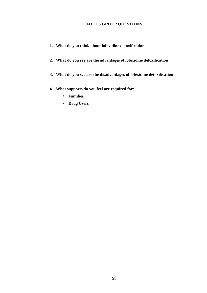# **FOCUS GROUP QUESTIONS**

- **1. What do you think about lofexidine detoxification**
- **2. What do you see are the advantages of lofexidine detoxification**
- **3. What do you see are the disadvantages of lofexidine detoxification**
- **4. What supports do you feel are required for:** 
	- **Families**
	- **Drug Users**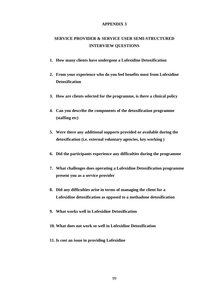### **APPENDIX 3**

# **SERVICE PROVIDER & SERVICE USER SEMI-STRUCTURED INTERVIEW QUESTIONS**

- **1. How many clients have undergone a Lofexidine Detoxification**
- **2. From your experience who do you feel benefits most from Lofexidine Detoxification**
- **3. How are clients selected for the programme, is there a clinical policy**
- **4. Can you describe the components of the detoxification programme (staffing etc)**
- **5. Were there any additional supports provided or available during the detoxification (i.e. external voluntary agencies, key working )**
- **6. Did the participants experience any difficulties during the programme**
- **7. What challenges does operating a Lofexidine Detoxification programme present you as a service provider**
- **8. Did any difficulties arise in terms of managing the client for a Lofexidine detoxification as opposed to a methadone detoxification**
- **9. What works well in Lofexidine Detoxification**
- **10. What does not work so well in Lofexidine Detoxification**
- **11. Is cost an issue in providing Lofexidine**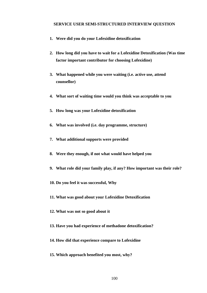### **SERVICE USER SEMI-STRUCTURED INTERVIEW QUESTION**

- **1. Were did you do your Lofexidine detoxification**
- **2. How long did you have to wait for a Lofexidine Detoxification (Was time factor important contributor for choosing Lofexidine)**
- **3. What happened while you were waiting (i.e. active use, attend counsellor)**
- **4. What sort of waiting time would you think was acceptable to you**
- **5. How long was your Lofexidine detoxification**
- **6. What was involved (i.e. day programme, structure)**
- **7. What additional supports were provided**
- **8. Were they enough, if not what would have helped you**
- **9. What role did your family play, if any? How important was their role?**
- **10. Do you feel it was successful, Why**
- **11. What was good about your Lofexidine Detoxification**
- **12. What was not so good about it**
- **13. Have you had experience of methadone detoxification?**
- **14. How did that experience compare to Lofexidine**
- **15. Which approach benefited you most, why?**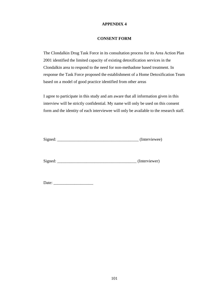## **APPENDIX 4**

## **CONSENT FORM**

The Clondalkin Drug Task Force in its consultation process for its Area Action Plan 2001 identified the limited capacity of existing detoxification services in the Clondalkin area to respond to the need for non-methadone based treatment. In response the Task Force proposed the establishment of a Home Detoxification Team based on a model of good practice identified from other areas

I agree to participate in this study and am aware that all information given in this interview will be strictly confidential. My name will only be used on this consent form and the identity of each interviewee will only be available to the research staff.

| Signed: | (Interviewee) |
|---------|---------------|
|---------|---------------|

Signed: \_\_\_\_\_\_\_\_\_\_\_\_\_\_\_\_\_\_\_\_\_\_\_\_\_\_\_\_\_\_\_\_\_\_\_\_\_\_ (Interviewer)

Date: \_\_\_\_\_\_\_\_\_\_\_\_\_\_\_\_\_\_\_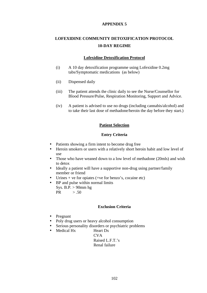## **APPENDIX 5**

# **LOFEXIDINE COMMUNITY DETOXIFICATION PROTOCOL 10-DAY REGIME**

### **Lofexidine Detoxification Protocol**

- (i) A 10 day detoxification programme using Lofexidine 0.2mg tabs/Symptomatic medications (as below)
- (ii) Dispensed daily
- (iii) The patient attends the clinic daily to see the Nurse/Counsellor for Blood Pressure/Pulse, Respiration Monitoring, Support and Advice.
- (iv) A patient is advised to use no drugs (including cannabis/alcohol) and to take their last dose of methadone/heroin the day before they start.)

### **Patient Selection**

### **Entry Criteria**

- Patients showing a firm intent to become drug free
- Heroin smokers or users with a relatively short heroin habit and low level of use
- Those who have weaned down to a low level of methadone (20mls) and wish to detox
- Ideally a patient will have a supportive non-drug using partner/family member or friend
- Urines  $+ve$  for opiates ( $+ve$  for benzo's, cocaine etc)
- BP and pulse within normal limits
	- Sys. B.P. > 90mm hg  $PR$  > .50

### **Exclusion Criteria**

- Pregnant
- Poly drug users or heavy alcohol consumption
- Serious personality disorders or psychiatric problems<br>Medical Hx Heart Dx
- Medical  $Hx$

**CVA**  Raised L.F.T.'s Renal failure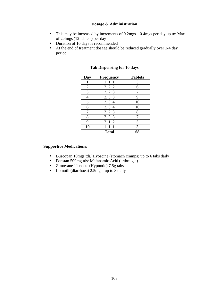## **Dosage & Administration**

- This may be increased by increments of 0.2mgs 0.4mgs per day up to: Max of 2.4mgs (12 tablets) per day
- Duration of 10 days is recommended
- At the end of treatment dosage should be reduced gradually over 2-4 day period

| Day            | <b>Frequency</b>  | <b>Tablets</b> |
|----------------|-------------------|----------------|
|                | $\mathbf{1}$<br>1 | 3              |
| $\overline{2}$ | 222               | 6              |
| 3              | 223               | 7              |
| $\overline{4}$ | 333               | 9              |
| 5              | 3.3.4             | 10             |
| 6              | 334               | 10             |
| 7              | 3.2.3             | 8              |
| 8              | 223               | 7              |
| 9              | 2.1.2             | 5              |
| 10             | 111               | 3              |
|                | <b>Total</b>      | 68             |

## **Tab Dispensing for 10 days**

## **Supportive Medications:**

- Buscopan 10mgs tds/ Hyoscine (stomach cramps) up to 6 tabs daily
- Ponstan 500mg tds/ Mefanamic Acid (arthraigia)
- Zimovane 11 nocte (Hypnotic) 7.5g tabs
- Lomotil (diarrhoea)  $2.5mg up$  to 8 daily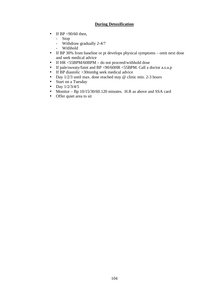# **During Detoxification**

- If BP <90/60 then,
	- Stop
	- Withdraw gradually 2-4/7
	- Withhold
- If BP 30% from baseline or pt develops physical symptoms omit next dose and seek medical advice
- If HR <55BPM/60BPM do not proceed/withhold dose
- If pale/sweaty/faint and BP <90/60HR <55BPM. Call a doctor a.s.a.p<br>• If BP diastolic >30mmhg seek medical advice
- If BP diastolic >30mmhg seek medical advice
- Day 1/2/3 until max. dose reached stay @ clinic min. 2-3 hours<br>• Start on a Tuesday
- Start on a Tuesday
- Day  $1/2/3/4/5$
- Monitor Bp 10/15/30/60.120 minutes. H.R as above and SSA card
- Offer quiet area to sit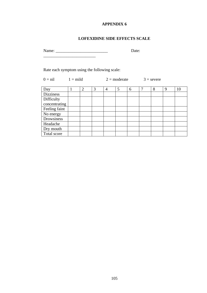## **APPENDIX 6**

## **LOFEXIDINE SIDE EFFECTS SCALE**

Name: \_\_\_\_\_\_\_\_\_\_\_\_\_\_\_\_\_\_\_\_\_\_\_\_\_ Date: \_\_\_\_\_\_\_\_\_\_\_\_\_\_\_\_\_\_\_\_\_\_\_\_\_

Rate each symptom using the following scale:

 $0 = nil$  1 = mild 2 = moderate 3 = severe

| Day              | ി | 3 | 4 | 5 | 6 | 8 | 9 | 10 |
|------------------|---|---|---|---|---|---|---|----|
| <b>Dizziness</b> |   |   |   |   |   |   |   |    |
| Difficulty       |   |   |   |   |   |   |   |    |
| concentrating    |   |   |   |   |   |   |   |    |
| Feeling faint    |   |   |   |   |   |   |   |    |
| No energy        |   |   |   |   |   |   |   |    |
| Drowsiness       |   |   |   |   |   |   |   |    |
| Headache         |   |   |   |   |   |   |   |    |
| Dry mouth        |   |   |   |   |   |   |   |    |
| Total score      |   |   |   |   |   |   |   |    |